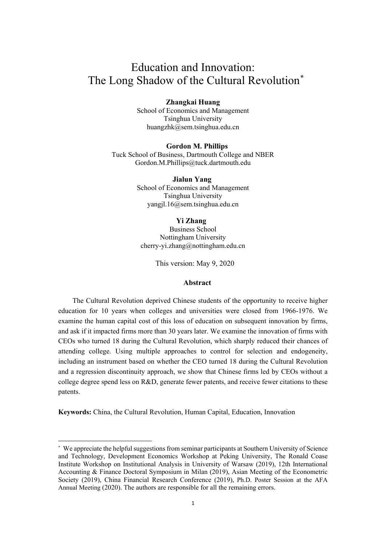# Education and Innovation: The Long Shadow of the Cultural Revolution<sup>[\\*](#page-0-0)</sup>

#### **Zhangkai Huang**

School of Economics and Management Tsinghua University huangzhk@sem.tsinghua.edu.cn

#### **Gordon M. Phillips**

Tuck School of Business, Dartmouth College and NBER [Gordon.M.Phillips@tuck.dartmouth.edu](mailto:Gordon.M.Phillips@tuck.dartmouth.edu)

> **Jialun Yang** School of Economics and Management Tsinghua University yangjl.16@sem.tsinghua.edu.cn

#### **Yi Zhang**

Business School Nottingham University [cherry-yi.zhang@nottingham.edu.cn](mailto:cherry-yi.zhang@nottingham.edu.cn)

This version: May 9, 2020

#### **Abstract**

The Cultural Revolution deprived Chinese students of the opportunity to receive higher education for 10 years when colleges and universities were closed from 1966-1976. We examine the human capital cost of this loss of education on subsequent innovation by firms, and ask if it impacted firms more than 30 years later. We examine the innovation of firms with CEOs who turned 18 during the Cultural Revolution, which sharply reduced their chances of attending college. Using multiple approaches to control for selection and endogeneity, including an instrument based on whether the CEO turned 18 during the Cultural Revolution and a regression discontinuity approach, we show that Chinese firms led by CEOs without a college degree spend less on R&D, generate fewer patents, and receive fewer citations to these patents.

**Keywords:** China, the Cultural Revolution, Human Capital, Education, Innovation

<span id="page-0-0"></span> <sup>\*</sup> We appreciate the helpful suggestions from seminar participants at Southern University of Science and Technology, Development Economics Workshop at Peking University, The Ronald Coase Institute Workshop on Institutional Analysis in University of Warsaw (2019), 12th International Accounting & Finance Doctoral Symposium in Milan (2019), Asian Meeting of the Econometric Society (2019), China Financial Research Conference (2019), Ph.D. Poster Session at the AFA Annual Meeting (2020). The authors are responsible for all the remaining errors.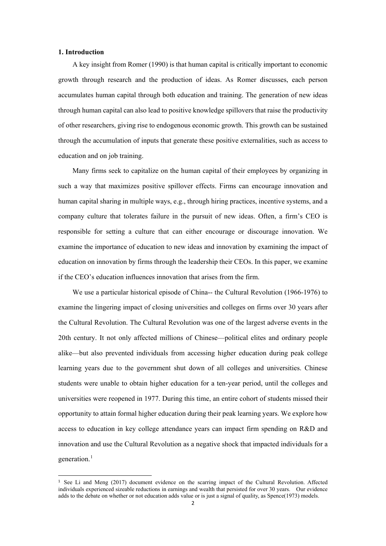#### **1. Introduction**

A key insight from Romer (1990) is that human capital is critically important to economic growth through research and the production of ideas. As Romer discusses, each person accumulates human capital through both education and training. The generation of new ideas through human capital can also lead to positive knowledge spillovers that raise the productivity of other researchers, giving rise to endogenous economic growth. This growth can be sustained through the accumulation of inputs that generate these positive externalities, such as access to education and on job training.

Many firms seek to capitalize on the human capital of their employees by organizing in such a way that maximizes positive spillover effects. Firms can encourage innovation and human capital sharing in multiple ways, e.g., through hiring practices, incentive systems, and a company culture that tolerates failure in the pursuit of new ideas. Often, a firm's CEO is responsible for setting a culture that can either encourage or discourage innovation. We examine the importance of education to new ideas and innovation by examining the impact of education on innovation by firms through the leadership their CEOs. In this paper, we examine if the CEO's education influences innovation that arises from the firm.

We use a particular historical episode of China-- the Cultural Revolution (1966-1976) to examine the lingering impact of closing universities and colleges on firms over 30 years after the Cultural Revolution. The Cultural Revolution was one of the largest adverse events in the 20th century. It not only affected millions of Chinese—political elites and ordinary people alike—but also prevented individuals from accessing higher education during peak college learning years due to the government shut down of all colleges and universities. Chinese students were unable to obtain higher education for a ten-year period, until the colleges and universities were reopened in 1977. During this time, an entire cohort of students missed their opportunity to attain formal higher education during their peak learning years. We explore how access to education in key college attendance years can impact firm spending on R&D and innovation and use the Cultural Revolution as a negative shock that impacted individuals for a generation. [1](#page-1-0)

<span id="page-1-0"></span> <sup>1</sup> See Li and Meng (2017) document evidence on the scarring impact of the Cultural Revolution. Affected individuals experienced sizeable reductions in earnings and wealth that persisted for over 30 years. Our evidence adds to the debate on whether or not education adds value or is just a signal of quality, as Spence(1973) models.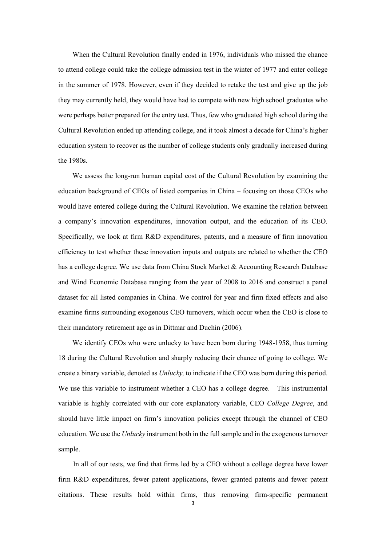When the Cultural Revolution finally ended in 1976, individuals who missed the chance to attend college could take the college admission test in the winter of 1977 and enter college in the summer of 1978. However, even if they decided to retake the test and give up the job they may currently held, they would have had to compete with new high school graduates who were perhaps better prepared for the entry test. Thus, few who graduated high school during the Cultural Revolution ended up attending college, and it took almost a decade for China's higher education system to recover as the number of college students only gradually increased during the 1980s.

We assess the long-run human capital cost of the Cultural Revolution by examining the education background of CEOs of listed companies in China – focusing on those CEOs who would have entered college during the Cultural Revolution. We examine the relation between a company's innovation expenditures, innovation output, and the education of its CEO. Specifically, we look at firm R&D expenditures, patents, and a measure of firm innovation efficiency to test whether these innovation inputs and outputs are related to whether the CEO has a college degree. We use data from China Stock Market & Accounting Research Database and Wind Economic Database ranging from the year of 2008 to 2016 and construct a panel dataset for all listed companies in China. We control for year and firm fixed effects and also examine firms surrounding exogenous CEO turnovers, which occur when the CEO is close to their mandatory retirement age as in Dittmar and Duchin (2006).

We identify CEOs who were unlucky to have been born during 1948-1958, thus turning 18 during the Cultural Revolution and sharply reducing their chance of going to college. We create a binary variable, denoted as *Unlucky,* to indicate if the CEO was born during this period. We use this variable to instrument whether a CEO has a college degree. This instrumental variable is highly correlated with our core explanatory variable, CEO *College Degree*, and should have little impact on firm's innovation policies except through the channel of CEO education. We use the *Unlucky* instrument both in the full sample and in the exogenous turnover sample.

In all of our tests, we find that firms led by a CEO without a college degree have lower firm R&D expenditures, fewer patent applications, fewer granted patents and fewer patent citations. These results hold within firms, thus removing firm-specific permanent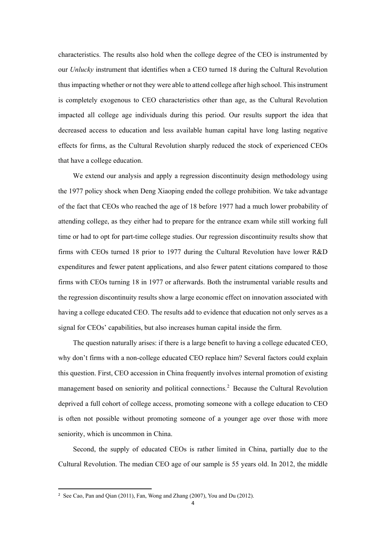characteristics. The results also hold when the college degree of the CEO is instrumented by our *Unlucky* instrument that identifies when a CEO turned 18 during the Cultural Revolution thus impacting whether or not they were able to attend college after high school. This instrument is completely exogenous to CEO characteristics other than age, as the Cultural Revolution impacted all college age individuals during this period. Our results support the idea that decreased access to education and less available human capital have long lasting negative effects for firms, as the Cultural Revolution sharply reduced the stock of experienced CEOs that have a college education.

We extend our analysis and apply a regression discontinuity design methodology using the 1977 policy shock when Deng Xiaoping ended the college prohibition. We take advantage of the fact that CEOs who reached the age of 18 before 1977 had a much lower probability of attending college, as they either had to prepare for the entrance exam while still working full time or had to opt for part-time college studies. Our regression discontinuity results show that firms with CEOs turned 18 prior to 1977 during the Cultural Revolution have lower R&D expenditures and fewer patent applications, and also fewer patent citations compared to those firms with CEOs turning 18 in 1977 or afterwards. Both the instrumental variable results and the regression discontinuity results show a large economic effect on innovation associated with having a college educated CEO. The results add to evidence that education not only serves as a signal for CEOs' capabilities, but also increases human capital inside the firm.

The question naturally arises: if there is a large benefit to having a college educated CEO, why don't firms with a non-college educated CEO replace him? Several factors could explain this question. First, CEO accession in China frequently involves internal promotion of existing management based on seniority and political connections.<sup>[2](#page-3-0)</sup> Because the Cultural Revolution deprived a full cohort of college access, promoting someone with a college education to CEO is often not possible without promoting someone of a younger age over those with more seniority, which is uncommon in China.

Second, the supply of educated CEOs is rather limited in China, partially due to the Cultural Revolution. The median CEO age of our sample is 55 years old. In 2012, the middle

<span id="page-3-0"></span> <sup>2</sup> See Cao, Pan and Qian (2011), Fan, Wong and Zhang (2007), You and Du (2012).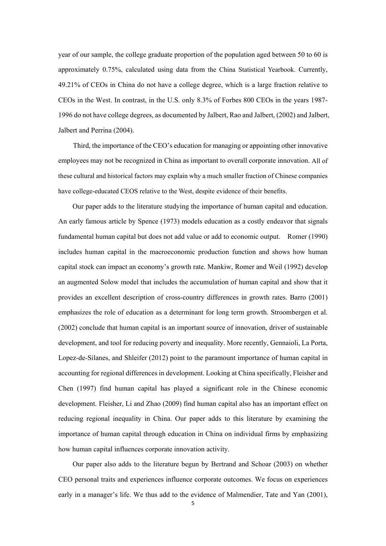year of our sample, the college graduate proportion of the population aged between 50 to 60 is approximately 0.75%, calculated using data from the China Statistical Yearbook. Currently, 49.21% of CEOs in China do not have a college degree, which is a large fraction relative to CEOs in the West. In contrast, in the U.S. only 8.3% of Forbes 800 CEOs in the years 1987- 1996 do not have college degrees, as documented by Jalbert, Rao and Jalbert, (2002) and Jalbert, Jalbert and Perrina (2004).

Third, the importance of the CEO's education for managing or appointing other innovative employees may not be recognized in China as important to overall corporate innovation. All of these cultural and historical factors may explain why a much smaller fraction of Chinese companies have college-educated CEOS relative to the West, despite evidence of their benefits.

Our paper adds to the literature studying the importance of human capital and education. An early famous article by Spence (1973) models education as a costly endeavor that signals fundamental human capital but does not add value or add to economic output. Romer (1990) includes human capital in the macroeconomic production function and shows how human capital stock can impact an economy's growth rate. Mankiw, Romer and Weil (1992) develop an augmented Solow model that includes the accumulation of human capital and show that it provides an excellent description of cross-country differences in growth rates. Barro (2001) emphasizes the role of education as a determinant for long term growth. Stroombergen et al. (2002) conclude that human capital is an important source of innovation, driver of sustainable development, and tool for reducing poverty and inequality. More recently, Gennaioli, La Porta, Lopez-de-Silanes, and Shleifer (2012) point to the paramount importance of human capital in accounting for regional differences in development. Looking at China specifically, Fleisher and Chen (1997) find human capital has played a significant role in the Chinese economic development. Fleisher, Li and Zhao (2009) find human capital also has an important effect on reducing regional inequality in China. Our paper adds to this literature by examining the importance of human capital through education in China on individual firms by emphasizing how human capital influences corporate innovation activity.

Our paper also adds to the literature begun by Bertrand and Schoar (2003) on whether CEO personal traits and experiences influence corporate outcomes. We focus on experiences early in a manager's life. We thus add to the evidence of Malmendier, Tate and Yan (2001),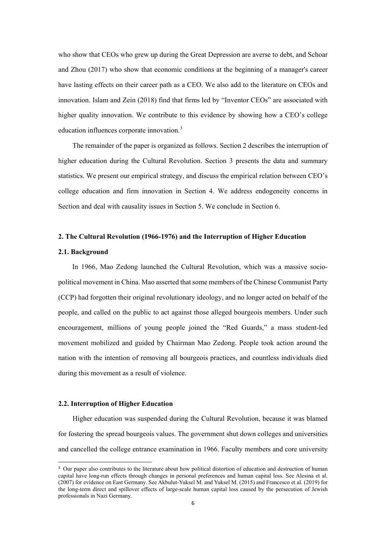who show that CEOs who grew up during the Great Depression are averse to debt, and Schoar and Zhou (2017) who show that economic conditions at the beginning of a manager's career have lasting effects on their career path as a CEO. We also add to the literature on CEOs and innovation. Islam and Zein (2018) find that firms led by "Inventor CEOs" are associated with higher quality innovation. We contribute to this evidence by showing how a CEO's college education influences corporate innovation.<sup>[3](#page-5-0)</sup>

The remainder of the paper is organized as follows. Section 2 describes the interruption of higher education during the Cultural Revolution. Section 3 presents the data and summary statistics. We present our empirical strategy, and discuss the empirical relation between CEO's college education and firm innovation in Section 4. We address endogeneity concerns in Section and deal with causality issues in Section 5. We conclude in Section 6.

#### **2. The Cultural Revolution (1966-1976) and the Interruption of Higher Education**

#### **2.1. Background**

In 1966, Mao Zedong launched the Cultural Revolution, which was a massive sociopolitical movement in China. Mao asserted that some members of the Chinese Communist Party (CCP) had forgotten their original revolutionary ideology, and no longer acted on behalf of the people, and called on the public to act against those alleged bourgeois members. Under such encouragement, millions of young people joined the "Red Guards," a mass student-led movement mobilized and guided by Chairman Mao Zedong. People took action around the nation with the intention of removing all bourgeois practices, and countless individuals died during this movement as a result of violence.

#### **2.2. Interruption of Higher Education**

Higher education was suspended during the Cultural Revolution, because it was blamed for fostering the spread bourgeois values. The government shut down colleges and universities and cancelled the college entrance examination in 1966. Faculty members and core university

<span id="page-5-0"></span><sup>&</sup>lt;sup>3</sup> Our paper also contributes to the literature about how political distortion of education and destruction of human capital have long-run effects through changes in personal preferences and human capital loss. See Alesina et al. (2007) for evidence on East Germany. See Akbulut-Yuksel M. and Yuksel M. (2015) and Francesco et al. (2019) for the long-term direct and spillover effects of large-scale human capital loss caused by the persecution of Jewish professionals in Nazi Germany.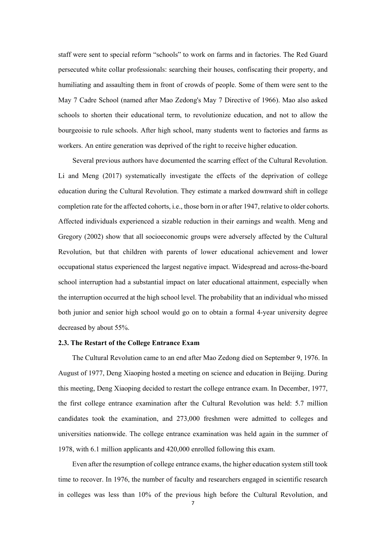staff were sent to special reform "schools" to work on farms and in factories. The Red Guard persecuted white collar professionals: searching their houses, confiscating their property, and humiliating and assaulting them in front of crowds of people. Some of them were sent to the May 7 Cadre School (named after Mao Zedong's May 7 Directive of 1966). Mao also asked schools to shorten their educational term, to revolutionize education, and not to allow the bourgeoisie to rule schools. After high school, many students went to factories and farms as workers. An entire generation was deprived of the right to receive higher education.

Several previous authors have documented the scarring effect of the Cultural Revolution. Li and Meng (2017) systematically investigate the effects of the deprivation of college education during the Cultural Revolution. They estimate a marked downward shift in college completion rate for the affected cohorts, i.e., those born in or after 1947, relative to older cohorts. Affected individuals experienced a sizable reduction in their earnings and wealth. Meng and Gregory (2002) show that all socioeconomic groups were adversely affected by the Cultural Revolution, but that children with parents of lower educational achievement and lower occupational status experienced the largest negative impact. Widespread and across-the-board school interruption had a substantial impact on later educational attainment, especially when the interruption occurred at the high school level. The probability that an individual who missed both junior and senior high school would go on to obtain a formal 4-year university degree decreased by about 55%.

#### **2.3. The Restart of the College Entrance Exam**

The Cultural Revolution came to an end after Mao Zedong died on September 9, 1976. In August of 1977, Deng Xiaoping hosted a meeting on science and education in Beijing. During this meeting, Deng Xiaoping decided to restart the college entrance exam. In December, 1977, the first college entrance examination after the Cultural Revolution was held: 5.7 million candidates took the examination, and 273,000 freshmen were admitted to colleges and universities nationwide. The college entrance examination was held again in the summer of 1978, with 6.1 million applicants and 420,000 enrolled following this exam.

Even after the resumption of college entrance exams, the higher education system still took time to recover. In 1976, the number of faculty and researchers engaged in scientific research in colleges was less than 10% of the previous high before the Cultural Revolution, and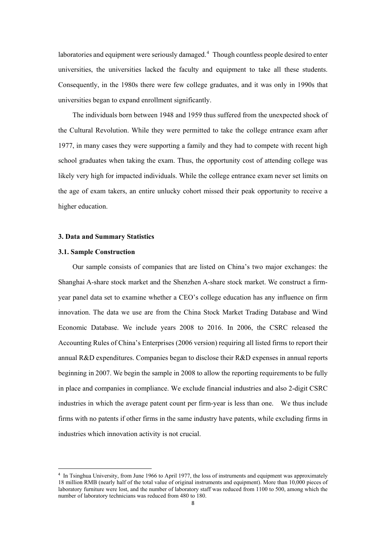laboratories and equipment were seriously damaged.<sup>[4](#page-7-0)</sup> Though countless people desired to enter universities, the universities lacked the faculty and equipment to take all these students. Consequently, in the 1980s there were few college graduates, and it was only in 1990s that universities began to expand enrollment significantly.

The individuals born between 1948 and 1959 thus suffered from the unexpected shock of the Cultural Revolution. While they were permitted to take the college entrance exam after 1977, in many cases they were supporting a family and they had to compete with recent high school graduates when taking the exam. Thus, the opportunity cost of attending college was likely very high for impacted individuals. While the college entrance exam never set limits on the age of exam takers, an entire unlucky cohort missed their peak opportunity to receive a higher education.

#### **3. Data and Summary Statistics**

#### **3.1. Sample Construction**

Our sample consists of companies that are listed on China's two major exchanges: the Shanghai A-share stock market and the Shenzhen A-share stock market. We construct a firmyear panel data set to examine whether a CEO's college education has any influence on firm innovation. The data we use are from the China Stock Market Trading Database and Wind Economic Database. We include years 2008 to 2016. In 2006, the CSRC released the Accounting Rules of China's Enterprises (2006 version) requiring all listed firms to report their annual R&D expenditures. Companies began to disclose their R&D expenses in annual reports beginning in 2007. We begin the sample in 2008 to allow the reporting requirements to be fully in place and companies in compliance. We exclude financial industries and also 2-digit CSRC industries in which the average patent count per firm-year is less than one. We thus include firms with no patents if other firms in the same industry have patents, while excluding firms in industries which innovation activity is not crucial.

<span id="page-7-0"></span> <sup>4</sup> In Tsinghua University, from June 1966 to April 1977, the loss of instruments and equipment was approximately 18 million RMB (nearly half of the total value of original instruments and equipment). More than 10,000 pieces of laboratory furniture were lost, and the number of laboratory staff was reduced from 1100 to 500, among which the number of laboratory technicians was reduced from 480 to 180.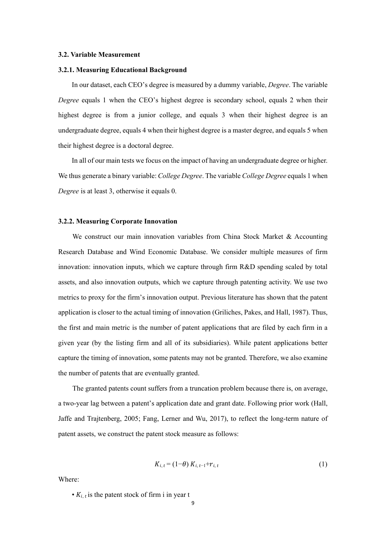#### **3.2. Variable Measurement**

#### **3.2.1. Measuring Educational Background**

In our dataset, each CEO's degree is measured by a dummy variable, *Degree*. The variable *Degree* equals 1 when the CEO's highest degree is secondary school, equals 2 when their highest degree is from a junior college, and equals 3 when their highest degree is an undergraduate degree, equals 4 when their highest degree is a master degree, and equals 5 when their highest degree is a doctoral degree.

In all of our main tests we focus on the impact of having an undergraduate degree or higher. We thus generate a binary variable: *College Degree*. The variable *College Degree* equals 1 when *Degree* is at least 3, otherwise it equals 0.

#### **3.2.2. Measuring Corporate Innovation**

We construct our main innovation variables from China Stock Market & Accounting Research Database and Wind Economic Database. We consider multiple measures of firm innovation: innovation inputs, which we capture through firm R&D spending scaled by total assets, and also innovation outputs, which we capture through patenting activity. We use two metrics to proxy for the firm's innovation output. Previous literature has shown that the patent application is closer to the actual timing of innovation (Griliches, Pakes, and Hall, 1987). Thus, the first and main metric is the number of patent applications that are filed by each firm in a given year (by the listing firm and all of its subsidiaries). While patent applications better capture the timing of innovation, some patents may not be granted. Therefore, we also examine the number of patents that are eventually granted.

The granted patents count suffers from a truncation problem because there is, on average, a two-year lag between a patent's application date and grant date. Following prior work (Hall, Jaffe and Trajtenberg, 2005; Fang, Lerner and Wu, 2017), to reflect the long-term nature of patent assets, we construct the patent stock measure as follows:

$$
K_{i, t} = (1-\theta) K_{i, t-1} + r_{i, t} \tag{1}
$$

Where:

•  $K_{i,t}$  is the patent stock of firm i in year t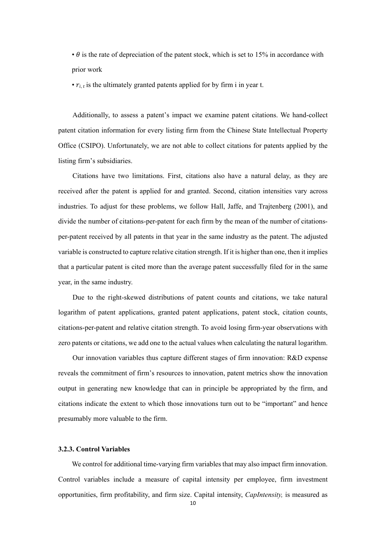$\cdot \theta$  is the rate of depreciation of the patent stock, which is set to 15% in accordance with prior work

•  $r_{i,t}$  is the ultimately granted patents applied for by firm i in year t.

Additionally, to assess a patent's impact we examine patent citations. We hand-collect patent citation information for every listing firm from the Chinese State Intellectual Property Office (CSIPO). Unfortunately, we are not able to collect citations for patents applied by the listing firm's subsidiaries.

Citations have two limitations. First, citations also have a natural delay, as they are received after the patent is applied for and granted. Second, citation intensities vary across industries. To adjust for these problems, we follow Hall, Jaffe, and Trajtenberg (2001), and divide the number of citations-per-patent for each firm by the mean of the number of citationsper-patent received by all patents in that year in the same industry as the patent. The adjusted variable is constructed to capture relative citation strength. If it is higher than one, then it implies that a particular patent is cited more than the average patent successfully filed for in the same year, in the same industry.

Due to the right-skewed distributions of patent counts and citations, we take natural logarithm of patent applications, granted patent applications, patent stock, citation counts, citations-per-patent and relative citation strength. To avoid losing firm-year observations with zero patents or citations, we add one to the actual values when calculating the natural logarithm.

Our innovation variables thus capture different stages of firm innovation: R&D expense reveals the commitment of firm's resources to innovation, patent metrics show the innovation output in generating new knowledge that can in principle be appropriated by the firm, and citations indicate the extent to which those innovations turn out to be "important" and hence presumably more valuable to the firm.

#### **3.2.3. Control Variables**

We control for additional time-varying firm variables that may also impact firm innovation. Control variables include a measure of capital intensity per employee, firm investment opportunities, firm profitability, and firm size. Capital intensity, *CapIntensity,* is measured as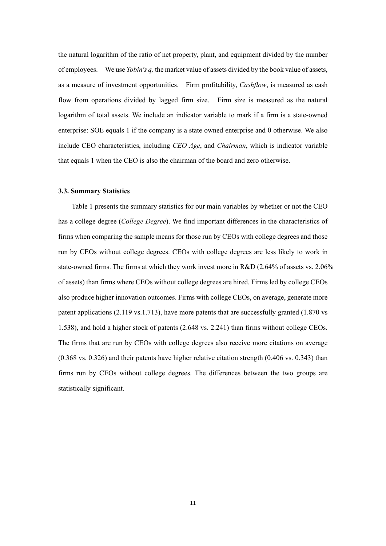the natural logarithm of the ratio of net property, plant, and equipment divided by the number of employees. We use *Tobin's q,* the market value of assets divided by the book value of assets, as a measure of investment opportunities. Firm profitability, *Cashflow*, is measured as cash flow from operations divided by lagged firm size. Firm size is measured as the natural logarithm of total assets. We include an indicator variable to mark if a firm is a state-owned enterprise: SOE equals 1 if the company is a state owned enterprise and 0 otherwise. We also include CEO characteristics, including *CEO Age*, and *Chairman*, which is indicator variable that equals 1 when the CEO is also the chairman of the board and zero otherwise.

#### **3.3. Summary Statistics**

Table 1 presents the summary statistics for our main variables by whether or not the CEO has a college degree (*College Degree*). We find important differences in the characteristics of firms when comparing the sample means for those run by CEOs with college degrees and those run by CEOs without college degrees. CEOs with college degrees are less likely to work in state-owned firms. The firms at which they work invest more in R&D (2.64% of assets vs. 2.06% of assets) than firms where CEOs without college degrees are hired. Firms led by college CEOs also produce higher innovation outcomes. Firms with college CEOs, on average, generate more patent applications (2.119 vs.1.713), have more patents that are successfully granted (1.870 vs 1.538), and hold a higher stock of patents (2.648 vs. 2.241) than firms without college CEOs. The firms that are run by CEOs with college degrees also receive more citations on average (0.368 vs. 0.326) and their patents have higher relative citation strength (0.406 vs. 0.343) than firms run by CEOs without college degrees. The differences between the two groups are statistically significant.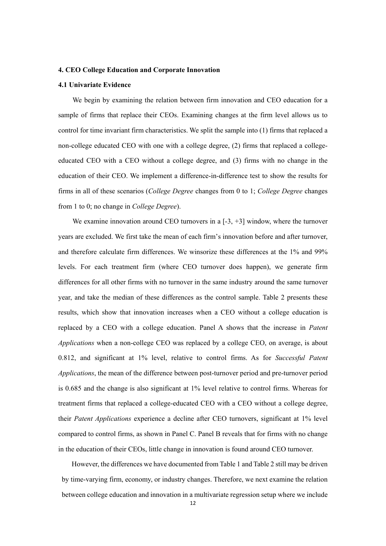#### **4. CEO College Education and Corporate Innovation**

#### **4.1 Univariate Evidence**

We begin by examining the relation between firm innovation and CEO education for a sample of firms that replace their CEOs. Examining changes at the firm level allows us to control for time invariant firm characteristics. We split the sample into (1) firms that replaced a non-college educated CEO with one with a college degree, (2) firms that replaced a collegeeducated CEO with a CEO without a college degree, and (3) firms with no change in the education of their CEO. We implement a difference-in-difference test to show the results for firms in all of these scenarios (*College Degree* changes from 0 to 1; *College Degree* changes from 1 to 0; no change in *College Degree*).

We examine innovation around CEO turnovers in a  $[-3, +3]$  window, where the turnover years are excluded. We first take the mean of each firm's innovation before and after turnover, and therefore calculate firm differences. We winsorize these differences at the 1% and 99% levels. For each treatment firm (where CEO turnover does happen), we generate firm differences for all other firms with no turnover in the same industry around the same turnover year, and take the median of these differences as the control sample. Table 2 presents these results, which show that innovation increases when a CEO without a college education is replaced by a CEO with a college education. Panel A shows that the increase in *Patent Applications* when a non-college CEO was replaced by a college CEO, on average, is about 0.812, and significant at 1% level, relative to control firms. As for *Successful Patent Applications*, the mean of the difference between post-turnover period and pre-turnover period is 0.685 and the change is also significant at 1% level relative to control firms. Whereas for treatment firms that replaced a college-educated CEO with a CEO without a college degree, their *Patent Applications* experience a decline after CEO turnovers, significant at 1% level compared to control firms, as shown in Panel C. Panel B reveals that for firms with no change in the education of their CEOs, little change in innovation is found around CEO turnover.

However, the differences we have documented from Table 1 and Table 2 still may be driven by time-varying firm, economy, or industry changes. Therefore, we next examine the relation between college education and innovation in a multivariate regression setup where we include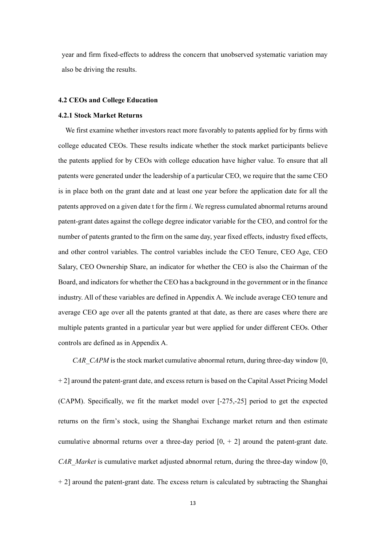year and firm fixed-effects to address the concern that unobserved systematic variation may also be driving the results.

#### **4.2 CEOs and College Education**

#### **4.2.1 Stock Market Returns**

We first examine whether investors react more favorably to patents applied for by firms with college educated CEOs. These results indicate whether the stock market participants believe the patents applied for by CEOs with college education have higher value. To ensure that all patents were generated under the leadership of a particular CEO, we require that the same CEO is in place both on the grant date and at least one year before the application date for all the patents approved on a given date t for the firm *i*. We regress cumulated abnormal returns around patent-grant dates against the college degree indicator variable for the CEO, and control for the number of patents granted to the firm on the same day, year fixed effects, industry fixed effects, and other control variables. The control variables include the CEO Tenure, CEO Age, CEO Salary, CEO Ownership Share, an indicator for whether the CEO is also the Chairman of the Board, and indicators for whether the CEO has a background in the government or in the finance industry. All of these variables are defined in Appendix A. We include average CEO tenure and average CEO age over all the patents granted at that date, as there are cases where there are multiple patents granted in a particular year but were applied for under different CEOs. Other controls are defined as in Appendix A.

*CAR\_CAPM* is the stock market cumulative abnormal return, during three-day window [0, + 2] around the patent-grant date, and excess return is based on the Capital Asset Pricing Model (CAPM). Specifically, we fit the market model over [-275,-25] period to get the expected returns on the firm's stock, using the Shanghai Exchange market return and then estimate cumulative abnormal returns over a three-day period  $[0, +2]$  around the patent-grant date. *CAR\_Market* is cumulative market adjusted abnormal return, during the three-day window [0, + 2] around the patent-grant date. The excess return is calculated by subtracting the Shanghai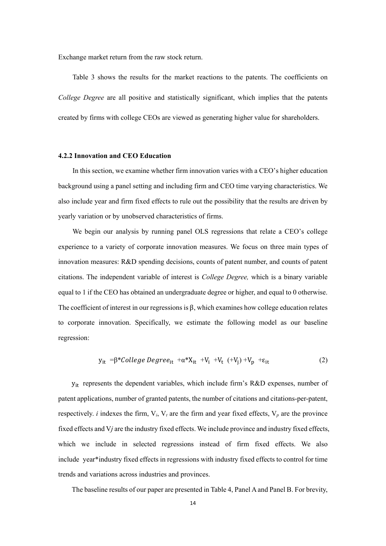Exchange market return from the raw stock return.

Table 3 shows the results for the market reactions to the patents. The coefficients on *College Degree* are all positive and statistically significant, which implies that the patents created by firms with college CEOs are viewed as generating higher value for shareholders.

#### **4.2.2 Innovation and CEO Education**

In this section, we examine whether firm innovation varies with a CEO's higher education background using a panel setting and including firm and CEO time varying characteristics. We also include year and firm fixed effects to rule out the possibility that the results are driven by yearly variation or by unobserved characteristics of firms.

We begin our analysis by running panel OLS regressions that relate a CEO's college experience to a variety of corporate innovation measures. We focus on three main types of innovation measures: R&D spending decisions, counts of patent number, and counts of patent citations. The independent variable of interest is *College Degree,* which is a binary variable equal to 1 if the CEO has obtained an undergraduate degree or higher, and equal to 0 otherwise. The coefficient of interest in our regressions is  $\beta$ , which examines how college education relates to corporate innovation. Specifically, we estimate the following model as our baseline regression:

$$
y_{it} = \beta * College \text{Degree}_{it} + \alpha * X_{it} + V_i + V_t (+V_j) + V_p + \varepsilon_{it}
$$
 (2)

yit represents the dependent variables, which include firm's R&D expenses, number of patent applications, number of granted patents, the number of citations and citations-per-patent, respectively. *i* indexes the firm,  $V_i$ ,  $V_t$  are the firm and year fixed effects,  $V_p$  are the province fixed effects and V*j* are the industry fixed effects. We include province and industry fixed effects, which we include in selected regressions instead of firm fixed effects. We also include year\*industry fixed effects in regressions with industry fixed effects to control for time trends and variations across industries and provinces.

The baseline results of our paper are presented in Table 4, Panel A and Panel B. For brevity,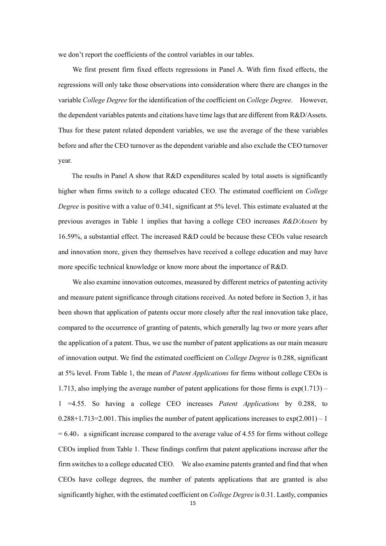we don't report the coefficients of the control variables in our tables.

We first present firm fixed effects regressions in Panel A. With firm fixed effects, the regressions will only take those observations into consideration where there are changes in the variable *College Degree* for the identification of the coefficient on *College Degree.* However, the dependent variables patents and citations have time lags that are different from R&D/Assets. Thus for these patent related dependent variables, we use the average of the these variables before and after the CEO turnover as the dependent variable and also exclude the CEO turnover year.

The results in Panel A show that R&D expenditures scaled by total assets is significantly higher when firms switch to a college educated CEO. The estimated coefficient on *College Degree* is positive with a value of 0.341, significant at 5% level. This estimate evaluated at the previous averages in Table 1 implies that having a college CEO increases *R&D/Assets* by 16.59%, a substantial effect. The increased R&D could be because these CEOs value research and innovation more, given they themselves have received a college education and may have more specific technical knowledge or know more about the importance of R&D.

We also examine innovation outcomes, measured by different metrics of patenting activity and measure patent significance through citations received. As noted before in Section 3, it has been shown that application of patents occur more closely after the real innovation take place, compared to the occurrence of granting of patents, which generally lag two or more years after the application of a patent. Thus, we use the number of patent applications as our main measure of innovation output. We find the estimated coefficient on *College Degree* is 0.288, significant at 5% level. From Table 1, the mean of *Patent Applications* for firms without college CEOs is 1.713, also implying the average number of patent applications for those firms is exp(1.713) – 1 =4.55. So having a college CEO increases *Patent Applications* by 0.288, to  $0.288+1.713=2.001$ . This implies the number of patent applications increases to  $\exp(2.001) - 1$  $= 6.40$ , a significant increase compared to the average value of 4.55 for firms without college CEOs implied from Table 1. These findings confirm that patent applications increase after the firm switches to a college educated CEO. We also examine patents granted and find that when CEOs have college degrees, the number of patents applications that are granted is also significantly higher, with the estimated coefficient on *College Degree* is 0.31. Lastly, companies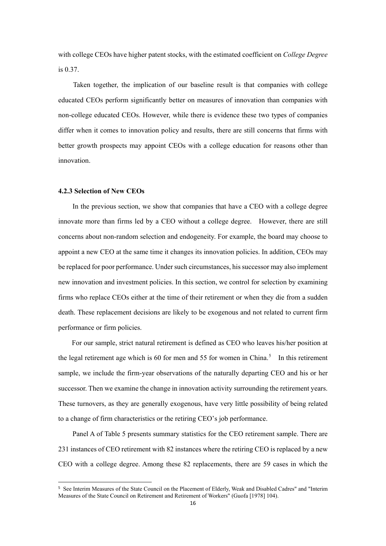with college CEOs have higher patent stocks, with the estimated coefficient on *College Degree* is 0.37.

Taken together, the implication of our baseline result is that companies with college educated CEOs perform significantly better on measures of innovation than companies with non-college educated CEOs. However, while there is evidence these two types of companies differ when it comes to innovation policy and results, there are still concerns that firms with better growth prospects may appoint CEOs with a college education for reasons other than innovation.

#### **4.2.3 Selection of New CEOs**

In the previous section, we show that companies that have a CEO with a college degree innovate more than firms led by a CEO without a college degree. However, there are still concerns about non-random selection and endogeneity. For example, the board may choose to appoint a new CEO at the same time it changes its innovation policies. In addition, CEOs may be replaced for poor performance. Under such circumstances, his successor may also implement new innovation and investment policies. In this section, we control for selection by examining firms who replace CEOs either at the time of their retirement or when they die from a sudden death. These replacement decisions are likely to be exogenous and not related to current firm performance or firm policies.

For our sample, strict natural retirement is defined as CEO who leaves his/her position at the legal retirement age which is 60 for men and [5](#page-15-0)5 for women in China.<sup>5</sup> In this retirement sample, we include the firm-year observations of the naturally departing CEO and his or her successor. Then we examine the change in innovation activity surrounding the retirement years. These turnovers, as they are generally exogenous, have very little possibility of being related to a change of firm characteristics or the retiring CEO's job performance.

Panel A of Table 5 presents summary statistics for the CEO retirement sample. There are 231 instances of CEO retirement with 82 instances where the retiring CEO is replaced by a new CEO with a college degree. Among these 82 replacements, there are 59 cases in which the

<span id="page-15-0"></span> <sup>5</sup> See Interim Measures of the State Council on the Placement of Elderly, Weak and Disabled Cadres" and "Interim Measures of the State Council on Retirement and Retirement of Workers" (Guofa [1978] 104).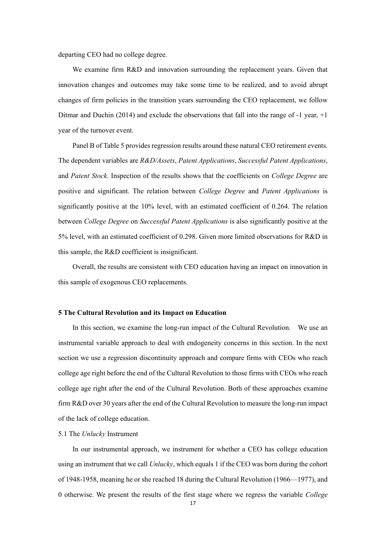departing CEO had no college degree.

We examine firm R&D and innovation surrounding the replacement years. Given that innovation changes and outcomes may take some time to be realized, and to avoid abrupt changes of firm policies in the transition years surrounding the CEO replacement, we follow Ditmar and Duchin (2014) and exclude the observations that fall into the range of -1 year, +1 year of the turnover event.

Panel B of Table 5 provides regression results around these natural CEO retirement events. The dependent variables are *R&D/Assets*, *Patent Applications*, *Successful Patent Applications*, and *Patent Stock*. Inspection of the results shows that the coefficients on *College Degree* are positive and significant. The relation between *College Degree* and *Patent Applications* is significantly positive at the 10% level, with an estimated coefficient of 0.264. The relation between *College Degree* on *Successful Patent Applications* is also significantly positive at the 5% level, with an estimated coefficient of 0.298. Given more limited observations for R&D in this sample, the R&D coefficient is insignificant.

Overall, the results are consistent with CEO education having an impact on innovation in this sample of exogenous CEO replacements.

#### **5 The Cultural Revolution and its Impact on Education**

In this section, we examine the long-run impact of the Cultural Revolution. We use an instrumental variable approach to deal with endogeneity concerns in this section. In the next section we use a regression discontinuity approach and compare firms with CEOs who reach college age right before the end of the Cultural Revolution to those firms with CEOs who reach college age right after the end of the Cultural Revolution. Both of these approaches examine firm R&D over 30 years after the end of the Cultural Revolution to measure the long-run impact of the lack of college education.

#### 5.1 The *Unlucky* Instrument

In our instrumental approach, we instrument for whether a CEO has college education using an instrument that we call *Unlucky*, which equals 1 if the CEO was born during the cohort of 1948-1958, meaning he or she reached 18 during the Cultural Revolution (1966—1977), and 0 otherwise. We present the results of the first stage where we regress the variable *College*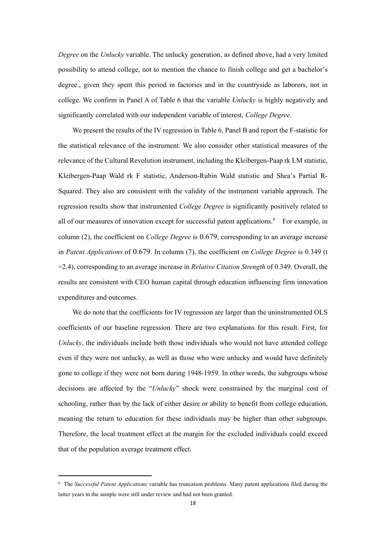*Degree* on the *Unlucky* variable. The unlucky generation, as defined above, had a very limited possibility to attend college, not to mention the chance to finish college and get a bachelor's degree., given they spent this period in factories and in the countryside as laborers, not in college. We confirm in Panel A of Table 6 that the variable *Unlucky* is highly negatively and significantly correlated with our independent variable of interest, *College Degree*.

We present the results of the IV regression in Table 6, Panel B and report the F-statistic for the statistical relevance of the instrument. We also consider other statistical measures of the relevance of the Cultural Revolution instrument, including the Kleibergen-Paap rk LM statistic, Kleibergen-Paap Wald rk F statistic, Anderson-Rubin Wald statistic and Shea's Partial R-Squared. They also are consistent with the validity of the instrument variable approach. The regression results show that instrumented *College Degree* is significantly positively related to all of our measures of innovation except for successful patent applications.<sup>[6](#page-17-0)</sup> For example, in column (2), the coefficient on *College Degree* is 0.679, corresponding to an average increase in *Patent Applications* of 0.679. In column (7), the coefficient on *College Degree* is 0.349 (t =2.4), corresponding to an average increase in *Relative Citation Strength* of 0.349. Overall, the results are consistent with CEO human capital through education influencing firm innovation expenditures and outcomes.

We do note that the coefficients for IV regression are larger than the uninstrumented OLS coefficients of our baseline regression. There are two explanations for this result. First, for *Unlucky*, the individuals include both those individuals who would not have attended college even if they were not unlucky, as well as those who were unlucky and would have definitely gone to college if they were not born during 1948-1959. In other words, the subgroups whose decisions are affected by the "*Unlucky*" shock were constrained by the marginal cost of schooling, rather than by the lack of either desire or ability to benefit from college education, meaning the return to education for these individuals may be higher than other subgroups. Therefore, the local treatment effect at the margin for the excluded individuals could exceed that of the population average treatment effect.

 $\overline{a}$ 

<span id="page-17-0"></span><sup>6</sup> The *Successful Patent Applications* variable has truncation problems. Many patent applications filed during the latter years in the sample were still under review and had not been granted.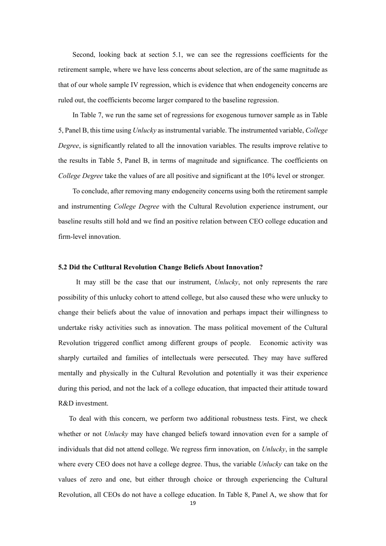Second, looking back at section 5.1, we can see the regressions coefficients for the retirement sample, where we have less concerns about selection, are of the same magnitude as that of our whole sample IV regression, which is evidence that when endogeneity concerns are ruled out, the coefficients become larger compared to the baseline regression.

In Table 7, we run the same set of regressions for exogenous turnover sample as in Table 5, Panel B, this time using *Unlucky* as instrumental variable. The instrumented variable, *College Degree*, is significantly related to all the innovation variables. The results improve relative to the results in Table 5, Panel B, in terms of magnitude and significance. The coefficients on *College Degree* take the values of are all positive and significant at the 10% level or stronger.

To conclude, after removing many endogeneity concerns using both the retirement sample and instrumenting *College Degree* with the Cultural Revolution experience instrument, our baseline results still hold and we find an positive relation between CEO college education and firm-level innovation.

#### **5.2 Did the Cutltural Revolution Change Beliefs About Innovation?**

It may still be the case that our instrument, *Unlucky*, not only represents the rare possibility of this unlucky cohort to attend college, but also caused these who were unlucky to change their beliefs about the value of innovation and perhaps impact their willingness to undertake risky activities such as innovation. The mass political movement of the Cultural Revolution triggered conflict among different groups of people. Economic activity was sharply curtailed and families of intellectuals were persecuted. They may have suffered mentally and physically in the Cultural Revolution and potentially it was their experience during this period, and not the lack of a college education, that impacted their attitude toward R&D investment.

To deal with this concern, we perform two additional robustness tests. First, we check whether or not *Unlucky* may have changed beliefs toward innovation even for a sample of individuals that did not attend college. We regress firm innovation, on *Unlucky*, in the sample where every CEO does not have a college degree. Thus, the variable *Unlucky* can take on the values of zero and one, but either through choice or through experiencing the Cultural Revolution, all CEOs do not have a college education. In Table 8, Panel A, we show that for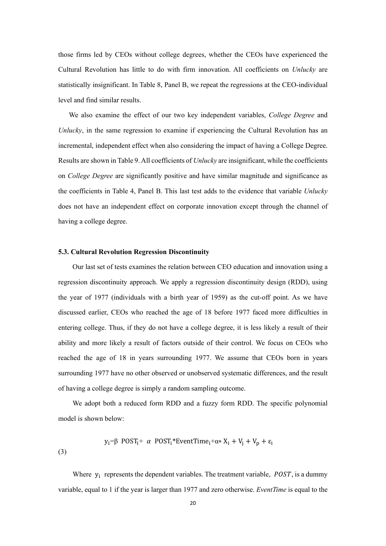those firms led by CEOs without college degrees, whether the CEOs have experienced the Cultural Revolution has little to do with firm innovation. All coefficients on *Unlucky* are statistically insignificant. In Table 8, Panel B, we repeat the regressions at the CEO-individual level and find similar results.

We also examine the effect of our two key independent variables, *College Degree* and *Unlucky*, in the same regression to examine if experiencing the Cultural Revolution has an incremental, independent effect when also considering the impact of having a College Degree. Results are shown in Table 9. All coefficients of *Unlucky* are insignificant, while the coefficients on *College Degree* are significantly positive and have similar magnitude and significance as the coefficients in Table 4, Panel B. This last test adds to the evidence that variable *Unlucky* does not have an independent effect on corporate innovation except through the channel of having a college degree.

#### **5.3. Cultural Revolution Regression Discontinuity**

(3)

Our last set of tests examines the relation between CEO education and innovation using a regression discontinuity approach. We apply a regression discontinuity design (RDD), using the year of 1977 (individuals with a birth year of 1959) as the cut-off point. As we have discussed earlier, CEOs who reached the age of 18 before 1977 faced more difficulties in entering college. Thus, if they do not have a college degree, it is less likely a result of their ability and more likely a result of factors outside of their control. We focus on CEOs who reached the age of 18 in years surrounding 1977. We assume that CEOs born in years surrounding 1977 have no other observed or unobserved systematic differences, and the result of having a college degree is simply a random sampling outcome.

We adopt both a reduced form RDD and a fuzzy form RDD. The specific polynomial model is shown below:

$$
y_i = \beta
$$
 POST<sub>i</sub> +  $\alpha$  POST<sub>i</sub>\*EventTime<sub>i</sub>+ $\alpha$ \* X<sub>i</sub> + V<sub>j</sub> + V<sub>p</sub> +  $\varepsilon$ <sub>i</sub>

Where  $y_i$  represents the dependent variables. The treatment variable,  $POST$ , is a dummy variable, equal to 1 if the year is larger than 1977 and zero otherwise. *EventTime* is equal to the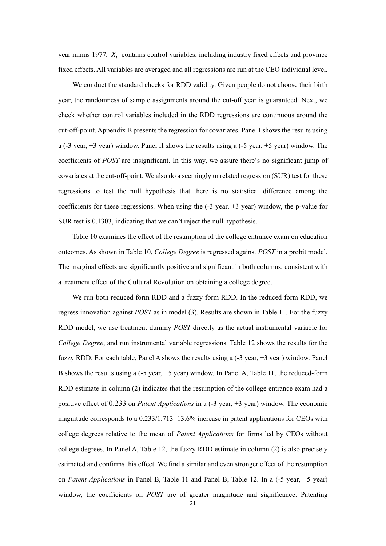year minus 1977.  $X_i$  contains control variables, including industry fixed effects and province fixed effects. All variables are averaged and all regressions are run at the CEO individual level.

We conduct the standard checks for RDD validity. Given people do not choose their birth year, the randomness of sample assignments around the cut-off year is guaranteed. Next, we check whether control variables included in the RDD regressions are continuous around the cut-off-point. Appendix B presents the regression for covariates. Panel I shows the results using a (-3 year, +3 year) window. Panel II shows the results using a (-5 year, +5 year) window. The coefficients of *POST* are insignificant. In this way, we assure there's no significant jump of covariates at the cut-off-point. We also do a seemingly unrelated regression (SUR) test for these regressions to test the null hypothesis that there is no statistical difference among the coefficients for these regressions. When using the  $(-3 \text{ year}, +3 \text{ year})$  window, the p-value for SUR test is 0.1303, indicating that we can't reject the null hypothesis.

Table 10 examines the effect of the resumption of the college entrance exam on education outcomes. As shown in Table 10, *College Degree* is regressed against *POST* in a probit model. The marginal effects are significantly positive and significant in both columns, consistent with a treatment effect of the Cultural Revolution on obtaining a college degree.

We run both reduced form RDD and a fuzzy form RDD. In the reduced form RDD, we regress innovation against *POST* as in model (3). Results are shown in Table 11. For the fuzzy RDD model, we use treatment dummy *POST* directly as the actual instrumental variable for *College Degree*, and run instrumental variable regressions. Table 12 shows the results for the fuzzy RDD. For each table, Panel A shows the results using a (-3 year, +3 year) window. Panel B shows the results using a (-5 year, +5 year) window. In Panel A, Table 11, the reduced-form RDD estimate in column (2) indicates that the resumption of the college entrance exam had a positive effect of 0.233 on *Patent Applications* in a (-3 year, +3 year) window. The economic magnitude corresponds to a 0.233/1.713=13.6% increase in patent applications for CEOs with college degrees relative to the mean of *Patent Applications* for firms led by CEOs without college degrees. In Panel A, Table 12, the fuzzy RDD estimate in column (2) is also precisely estimated and confirms this effect. We find a similar and even stronger effect of the resumption on *Patent Applications* in Panel B, Table 11 and Panel B, Table 12. In a (-5 year, +5 year) window, the coefficients on *POST* are of greater magnitude and significance. Patenting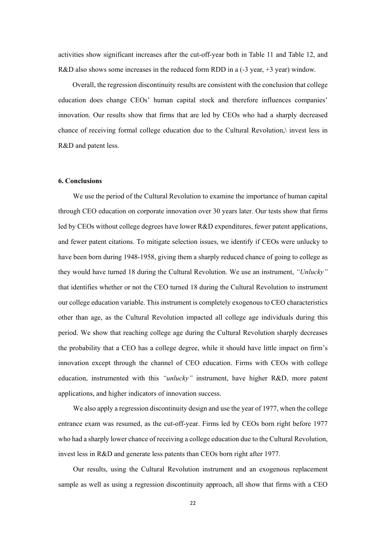activities show significant increases after the cut-off-year both in Table 11 and Table 12, and R&D also shows some increases in the reduced form RDD in a (-3 year, +3 year) window.

Overall, the regression discontinuity results are consistent with the conclusion that college education does change CEOs' human capital stock and therefore influences companies' innovation. Our results show that firms that are led by CEOs who had a sharply decreased chance of receiving formal college education due to the Cultural Revolution,\ invest less in R&D and patent less.

#### **6. Conclusions**

We use the period of the Cultural Revolution to examine the importance of human capital through CEO education on corporate innovation over 30 years later. Our tests show that firms led by CEOs without college degrees have lower R&D expenditures, fewer patent applications, and fewer patent citations. To mitigate selection issues, we identify if CEOs were unlucky to have been born during 1948-1958, giving them a sharply reduced chance of going to college as they would have turned 18 during the Cultural Revolution. We use an instrument, *"Unlucky"* that identifies whether or not the CEO turned 18 during the Cultural Revolution to instrument our college education variable. This instrument is completely exogenous to CEO characteristics other than age, as the Cultural Revolution impacted all college age individuals during this period. We show that reaching college age during the Cultural Revolution sharply decreases the probability that a CEO has a college degree, while it should have little impact on firm's innovation except through the channel of CEO education. Firms with CEOs with college education, instrumented with this *"unlucky"* instrument, have higher R&D, more patent applications, and higher indicators of innovation success.

We also apply a regression discontinuity design and use the year of 1977, when the college entrance exam was resumed, as the cut-off-year. Firms led by CEOs born right before 1977 who had a sharply lower chance of receiving a college education due to the Cultural Revolution, invest less in R&D and generate less patents than CEOs born right after 1977.

Our results, using the Cultural Revolution instrument and an exogenous replacement sample as well as using a regression discontinuity approach, all show that firms with a CEO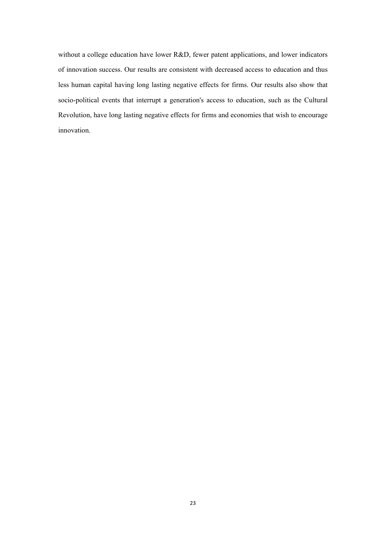without a college education have lower R&D, fewer patent applications, and lower indicators of innovation success. Our results are consistent with decreased access to education and thus less human capital having long lasting negative effects for firms. Our results also show that socio-political events that interrupt a generation's access to education, such as the Cultural Revolution, have long lasting negative effects for firms and economies that wish to encourage innovation.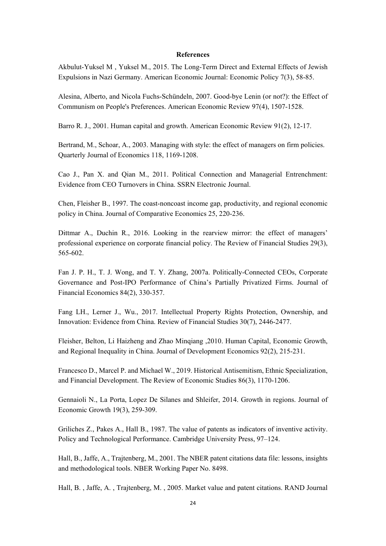#### **References**

Akbulut-Yuksel M , Yuksel M., 2015. The Long-Term Direct and External Effects of Jewish Expulsions in Nazi Germany. American Economic Journal: Economic Policy 7(3), 58-85.

Alesina, Alberto, and Nicola Fuchs-Schündeln, 2007. Good-bye Lenin (or not?): the Effect of Communism on People's Preferences. American Economic Review 97(4), 1507-1528.

Barro R. J., 2001. Human capital and growth. American Economic Review 91(2), 12-17.

Bertrand, M., Schoar, A., 2003. Managing with style: the effect of managers on firm policies. Quarterly Journal of Economics 118, 1169-1208.

Cao J., Pan X. and Qian M., 2011. Political Connection and Managerial Entrenchment: Evidence from CEO Turnovers in China. SSRN Electronic Journal.

Chen, Fleisher B., 1997. The coast-noncoast income gap, productivity, and regional economic policy in China. Journal of Comparative Economics 25, 220-236.

Dittmar A., Duchin R., 2016. Looking in the rearview mirror: the effect of managers' professional experience on corporate financial policy. The Review of Financial Studies 29(3), 565-602.

Fan J. P. H., T. J. Wong, and T. Y. Zhang, 2007a. Politically-Connected CEOs, Corporate Governance and Post-IPO Performance of China's Partially Privatized Firms. Journal of Financial Economics 84(2), 330-357.

Fang LH., Lerner J., Wu., 2017. Intellectual Property Rights Protection, Ownership, and Innovation: Evidence from China. Review of Financial Studies 30(7), 2446-2477.

Fleisher, Belton, Li Haizheng and Zhao Minqiang ,2010. Human Capital, Economic Growth, and Regional Inequality in China. Journal of Development Economics 92(2), 215-231.

Francesco D., Marcel P. and Michael W., 2019. Historical Antisemitism, Ethnic Specialization, and Financial Development. The Review of Economic Studies 86(3), 1170-1206.

Gennaioli N., La Porta, Lopez De Silanes and Shleifer, 2014. Growth in regions. Journal of Economic Growth 19(3), 259-309.

Griliches Z., Pakes A., Hall B., 1987. The value of patents as indicators of inventive activity. Policy and Technological Performance. Cambridge University Press, 97–124.

Hall, B., Jaffe, A., Trajtenberg, M., 2001. The NBER patent citations data file: lessons, insights and methodological tools. NBER Working Paper No. 8498.

Hall, B. , Jaffe, A. , Trajtenberg, M. , 2005. Market value and patent citations. RAND Journal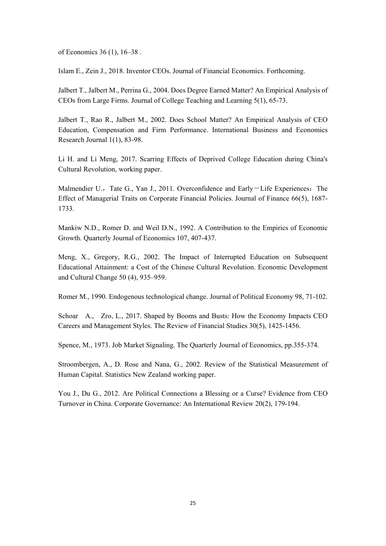of Economics 36 (1), 16–38 .

Islam E., Zein J., 2018. Inventor CEOs. Journal of Financial Economics. Forthcoming.

Jalbert T., Jalbert M., Perrina G., 2004. Does Degree Earned Matter? An Empirical Analysis of CEOs from Large Firms. Journal of College Teaching and Learning 5(1), 65-73.

Jalbert T., Rao R., Jalbert M., 2002. Does School Matter? An Empirical Analysis of CEO Education, Compensation and Firm Performance. International Business and Economics Research Journal 1(1), 83-98.

Li H. and Li Meng, 2017. Scarring Effects of Deprived College Education during China's Cultural Revolution, working paper.

Malmendier U., Tate G., Yan J., 2011. Overconfidence and Early-Life Experiences: The Effect of Managerial Traits on Corporate Financial Policies. Journal of Finance 66(5), 1687- 1733.

Mankiw N.D., Romer D. and Weil D.N., 1992. A Contribution to the Empirics of Economic Growth. Quarterly Journal of Economics 107, 407-437.

Meng, X., Gregory, R.G., 2002. The Impact of Interrupted Education on Subsequent Educational Attainment: a Cost of the Chinese Cultural Revolution. Economic Development and Cultural Change 50 (4), 935–959.

Romer M., 1990. Endogenous technological change. Journal of Political Economy 98, 71-102.

Schoar A., Zro, L., 2017. Shaped by Booms and Busts: How the Economy Impacts CEO Careers and Management Styles. The Review of Financial Studies 30(5), 1425-1456.

Spence, M., 1973. Job Market Signaling. The Quarterly Journal of Economics, pp.355-374.

Stroombergen, A., D. Rose and Nana, G., 2002. Review of the Statistical Measurement of Human Capital. Statistics New Zealand working paper.

You J., Du G., 2012. Are Political Connections a Blessing or a Curse? Evidence from CEO Turnover in China. Corporate Governance: An International Review 20(2), 179-194.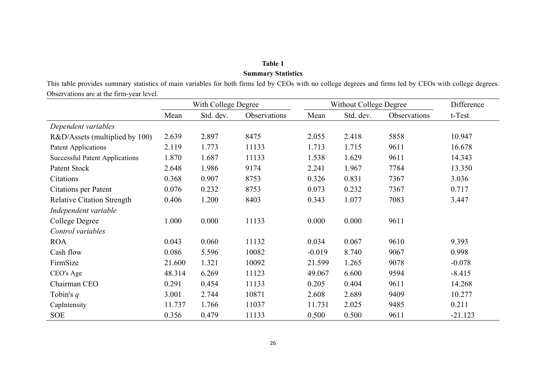# **Table 1 Summary Statistics**

This table provides summary statistics of main variables for both firms led by CEOs with no college degrees and firms led by CEOs with college degrees. Observations are at the firm-year level.

|                                       | With College Degree |           |              | Without College Degree |           | Difference   |           |
|---------------------------------------|---------------------|-----------|--------------|------------------------|-----------|--------------|-----------|
|                                       | Mean                | Std. dev. | Observations | Mean                   | Std. dev. | Observations | t-Test    |
| Dependent variables                   |                     |           |              |                        |           |              |           |
| R&D/Assets (multiplied by 100)        | 2.639               | 2.897     | 8475         | 2.055                  | 2.418     | 5858         | 10.947    |
| <b>Patent Applications</b>            | 2.119               | 1.773     | 11133        | 1.713                  | 1.715     | 9611         | 16.678    |
| <b>Successful Patent Applications</b> | 1.870               | 1.687     | 11133        | 1.538                  | 1.629     | 9611         | 14.343    |
| Patent Stock                          | 2.648               | 1.986     | 9174         | 2.241                  | 1.967     | 7784         | 13.350    |
| Citations                             | 0.368               | 0.907     | 8753         | 0.326                  | 0.831     | 7367         | 3.036     |
| <b>Citations per Patent</b>           | 0.076               | 0.232     | 8753         | 0.073                  | 0.232     | 7367         | 0.717     |
| <b>Relative Citation Strength</b>     | 0.406               | 1.200     | 8403         | 0.343                  | 1.077     | 7083         | 3.447     |
| Independent variable                  |                     |           |              |                        |           |              |           |
| College Degree                        | 1.000               | 0.000     | 11133        | 0.000                  | 0.000     | 9611         |           |
| Control variables                     |                     |           |              |                        |           |              |           |
| <b>ROA</b>                            | 0.043               | 0.060     | 11132        | 0.034                  | 0.067     | 9610         | 9.393     |
| Cash flow                             | 0.086               | 5.596     | 10082        | $-0.019$               | 8.740     | 9067         | 0.998     |
| FirmSize                              | 21.600              | 1.321     | 10092        | 21.599                 | 1.265     | 9078         | $-0.078$  |
| CEO's Age                             | 48.314              | 6.269     | 11123        | 49.067                 | 6.600     | 9594         | $-8.415$  |
| Chairman CEO                          | 0.291               | 0.454     | 11133        | 0.205                  | 0.404     | 9611         | 14.268    |
| Tobin's $q$                           | 3.001               | 2.744     | 10871        | 2.608                  | 2.689     | 9409         | 10.277    |
| CapIntensity                          | 11.737              | 1.766     | 11037        | 11.731                 | 2.025     | 9485         | 0.211     |
| <b>SOE</b>                            | 0.356               | 0.479     | 11133        | 0.500                  | 0.500     | 9611         | $-21.123$ |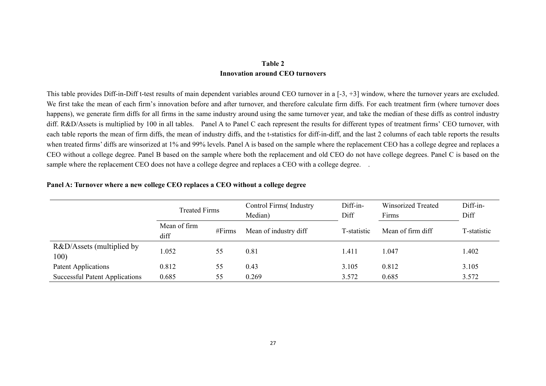### **Table 2 Innovation around CEO turnovers**

This table provides Diff-in-Diff t-test results of main dependent variables around CEO turnover in a [-3, +3] window, where the turnover years are excluded. We first take the mean of each firm's innovation before and after turnover, and therefore calculate firm diffs. For each treatment firm (where turnover does happens), we generate firm diffs for all firms in the same industry around using the same turnover year, and take the median of these diffs as control industry diff. R&D/Assets is multiplied by 100 in all tables. Panel A to Panel C each represent the results for different types of treatment firms' CEO turnover, with each table reports the mean of firm diffs, the mean of industry diffs, and the t-statistics for diff-in-diff, and the last 2 columns of each table reports the results when treated firms' diffs are winsorized at 1% and 99% levels. Panel A is based on the sample where the replacement CEO has a college degree and replaces a CEO without a college degree. Panel B based on the sample where both the replacement and old CEO do not have college degrees. Panel C is based on the sample where the replacement CEO does not have a college degree and replaces a CEO with a college degree. .

|                                       | <b>Treated Firms</b><br>Mean of firm<br>#Firms<br>diff |    | Control Firms (Industry<br>Median) | Diff-in-<br>Diff | Winsorized Treated<br>Firms | Diff-in-<br>Diff |
|---------------------------------------|--------------------------------------------------------|----|------------------------------------|------------------|-----------------------------|------------------|
|                                       |                                                        |    | Mean of industry diff              | T-statistic      | Mean of firm diff           | T-statistic      |
| R&D/Assets (multiplied by<br>100)     | 1.052                                                  | 55 | 0.81                               | 1.411            | 1.047                       | 1.402            |
| Patent Applications                   | 0.812                                                  | 55 | 0.43                               | 3.105            | 0.812                       | 3.105            |
| <b>Successful Patent Applications</b> | 0.685                                                  | 55 | 0.269                              | 3.572            | 0.685                       | 3.572            |

#### **Panel A: Turnover where a new college CEO replaces a CEO without a college degree**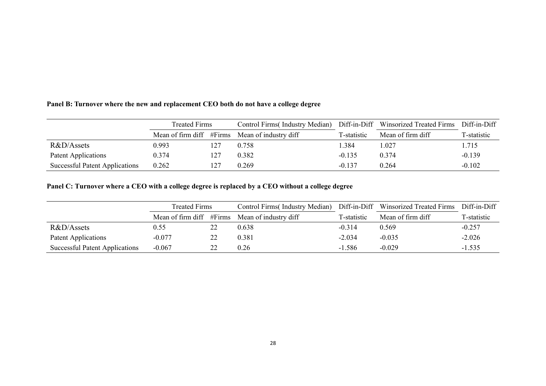## **Panel B: Turnover where the new and replacement CEO both do not have a college degree**

|                                       | <b>Treated Firms</b> |  | Control Firms (Industry Median)                |             | Diff-in-Diff Winsorized Treated Firms | Diff-in-Diff |
|---------------------------------------|----------------------|--|------------------------------------------------|-------------|---------------------------------------|--------------|
|                                       |                      |  | Mean of firm diff #Firms Mean of industry diff | T-statistic | Mean of firm diff                     | T-statistic  |
| R&D/Assets                            | 0.993                |  | 0.758                                          | .384        | 1.027                                 | 1.715        |
| Patent Applications                   | 0.374                |  | 0.382                                          | $-0.135$    | 0.374                                 | $-0.139$     |
| <b>Successful Patent Applications</b> | 0.262                |  | 0.269                                          | $-0.137$    | 0.264                                 | $-0.102$     |

## **Panel C: Turnover where a CEO with a college degree is replaced by a CEO without a college degree**

|                                       | <b>Treated Firms</b> |  | Control Firms (Industry Median)                |             | Diff-in-Diff Winsorized Treated Firms | Diff-in-Diff |
|---------------------------------------|----------------------|--|------------------------------------------------|-------------|---------------------------------------|--------------|
|                                       |                      |  | Mean of firm diff #Firms Mean of industry diff | T-statistic | Mean of firm diff                     | T-statistic  |
| R&D/Assets                            | 0.55                 |  | 0.638                                          | $-0.314$    | 0.569                                 | $-0.257$     |
| Patent Applications                   | $-0.077$             |  | 0.381                                          | $-2.034$    | $-0.035$                              | $-2.026$     |
| <b>Successful Patent Applications</b> | $-0.067$             |  | 0.26                                           | $-1.586$    | $-0.029$                              | $-1.535$     |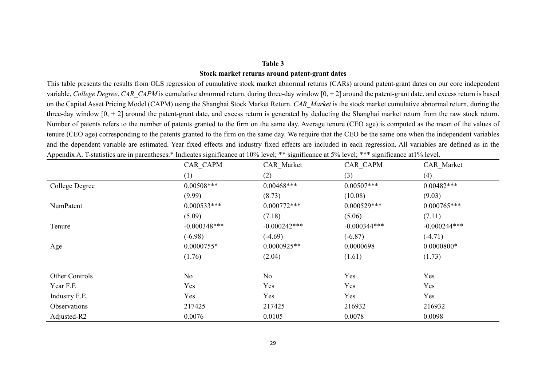#### **Table 3**

#### **Stock market returns around patent-grant dates**

This table presents the results from OLS regression of cumulative stock market abnormal returns (CARs) around patent-grant dates on our core independent variable, *College Degree*. *CAR CAPM* is cumulative abnormal return, during three-day window  $[0, +2]$  around the patent-grant date, and excess return is based on the Capital Asset Pricing Model (CAPM) using the Shanghai Stock Market Return. *CAR\_Market* is the stock market cumulative abnormal return, during the three-day window [0, + 2] around the patent-grant date, and excess return is generated by deducting the Shanghai market return from the raw stock return. Number of patents refers to the number of patents granted to the firm on the same day. Average tenure (CEO age) is computed as the mean of the values of tenure (CEO age) corresponding to the patents granted to the firm on the same day. We require that the CEO be the same one when the independent variables and the dependent variable are estimated. Year fixed effects and industry fixed effects are included in each regression. All variables are defined as in the Appendix A. T-statistics are in parentheses.\* Indicates significance at 10% level; \*\* significance at 5% level; \*\*\* significance at1% level.

|                  | CAR CAPM       | CAR Market     | CAR CAPM       | CAR Market     |
|------------------|----------------|----------------|----------------|----------------|
|                  | (1)            | (2)            | (3)            | (4)            |
| College Degree   | $0.00508***$   | $0.00468***$   | $0.00507***$   | $0.00482***$   |
|                  | (9.99)         | (8.73)         | (10.08)        | (9.03)         |
| <b>NumPatent</b> | $0.000533***$  | $0.000772***$  | $0.000529***$  | $0.000765***$  |
|                  | (5.09)         | (7.18)         | (5.06)         | (7.11)         |
| Tenure           | $-0.000348***$ | $-0.000242***$ | $-0.000344***$ | $-0.000244***$ |
|                  | $(-6.98)$      | $(-4.69)$      | $(-6.87)$      | $(-4.71)$      |
| Age              | $0.0000755*$   | $0.0000925**$  | 0.0000698      | $0.0000800*$   |
|                  | (1.76)         | (2.04)         | (1.61)         | (1.73)         |
| Other Controls   | No             | No             | Yes            | Yes            |
| Year F.E         | Yes            | Yes            | Yes            | Yes            |
| Industry F.E.    | Yes            | Yes            | Yes            | Yes            |
| Observations     | 217425         | 217425         | 216932         | 216932         |
| Adjusted-R2      | 0.0076         | 0.0105         | 0.0078         | 0.0098         |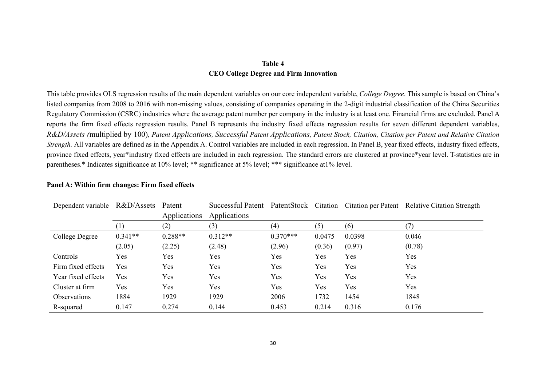## **Table 4 CEO College Degree and Firm Innovation**

This table provides OLS regression results of the main dependent variables on our core independent variable, *College Degree*. This sample is based on China's listed companies from 2008 to 2016 with non-missing values, consisting of companies operating in the 2-digit industrial classification of the China Securities Regulatory Commission (CSRC) industries where the average patent number per company in the industry is at least one. Financial firms are excluded. Panel A reports the firm fixed effects regression results. Panel B represents the industry fixed effects regression results for seven different dependent variables, *R&D/Assets (*multiplied by 100)*, Patent Applications, Successful Patent Applications, Patent Stock, Citation, Citation per Patent and Relative Citation Strength.* All variables are defined as in the Appendix A. Control variables are included in each regression. In Panel B, year fixed effects, industry fixed effects, province fixed effects, year\*industry fixed effects are included in each regression. The standard errors are clustered at province\*year level. T-statistics are in parentheses.\* Indicates significance at 10% level; \*\* significance at 5% level; \*\*\* significance at1% level.

| Dependent variable  | R&D/Assets | Patent       | Successful Patent |            |        |        | PatentStock Citation Citation per Patent Relative Citation Strength |
|---------------------|------------|--------------|-------------------|------------|--------|--------|---------------------------------------------------------------------|
|                     |            | Applications | Applications      |            |        |        |                                                                     |
|                     |            | (2)          | (3)               | (4)        | (5)    | (6)    |                                                                     |
| College Degree      | $0.341**$  | $0.288**$    | $0.312**$         | $0.370***$ | 0.0475 | 0.0398 | 0.046                                                               |
|                     | (2.05)     | (2.25)       | (2.48)            | (2.96)     | (0.36) | (0.97) | (0.78)                                                              |
| Controls            | Yes        | <b>Yes</b>   | Yes               | Yes        | Yes    | Yes    | Yes                                                                 |
| Firm fixed effects  | Yes        | Yes          | Yes               | Yes        | Yes    | Yes    | Yes                                                                 |
| Year fixed effects  | Yes        | Yes          | Yes               | Yes        | Yes    | Yes    | Yes                                                                 |
| Cluster at firm     | Yes        | Yes          | Yes               | Yes        | Yes    | Yes    | Yes                                                                 |
| <b>Observations</b> | 1884       | 1929         | 1929              | 2006       | 1732   | 1454   | 1848                                                                |
| R-squared           | 0.147      | 0.274        | 0.144             | 0.453      | 0.214  | 0.316  | 0.176                                                               |

#### **Panel A: Within firm changes: Firm fixed effects**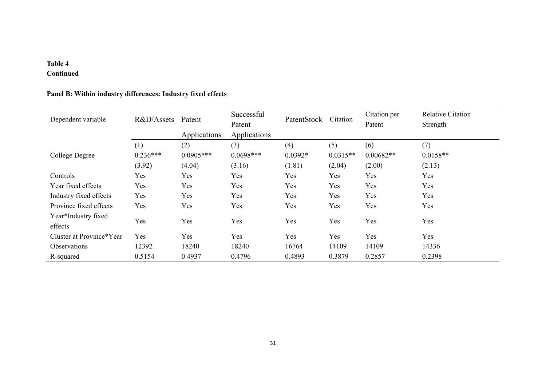# **Table 4**

# **Continued**

# **Panel B: Within industry differences: Industry fixed effects**

| Dependent variable       | R&D/Assets | Patent       | Successful   | PatentStock | Citation   | Citation per | <b>Relative Citation</b> |
|--------------------------|------------|--------------|--------------|-------------|------------|--------------|--------------------------|
|                          |            |              | Patent       |             |            | Patent       | Strength                 |
|                          |            | Applications | Applications |             |            |              |                          |
|                          | (1)        | (2)          | (3)          | (4)         | (5)        | (6)          | (7)                      |
| College Degree           | $0.236***$ | $0.0905***$  | $0.0698***$  | $0.0392*$   | $0.0315**$ | $0.00682**$  | $0.0158**$               |
|                          | (3.92)     | (4.04)       | (3.16)       | (1.81)      | (2.04)     | (2.00)       | (2.13)                   |
| Controls                 | <b>Yes</b> | Yes          | Yes          | Yes         | Yes        | Yes          | Yes                      |
| Year fixed effects       | Yes        | Yes          | Yes          | Yes         | Yes        | Yes          | Yes                      |
| Industry fixed effects   | Yes        | Yes          | Yes          | Yes         | Yes        | Yes          | Yes                      |
| Province fixed effects   | Yes        | Yes          | Yes          | Yes         | Yes        | Yes          | Yes                      |
| Year*Industry fixed      | Yes        | Yes          | Yes          | Yes         | Yes        | Yes          | Yes                      |
| effects                  |            |              |              |             |            |              |                          |
| Cluster at Province*Year | Yes        | Yes          | Yes          | Yes         | Yes        | Yes          | Yes                      |
| <b>Observations</b>      | 12392      | 18240        | 18240        | 16764       | 14109      | 14109        | 14336                    |
| R-squared                | 0.5154     | 0.4937       | 0.4796       | 0.4893      | 0.3879     | 0.2857       | 0.2398                   |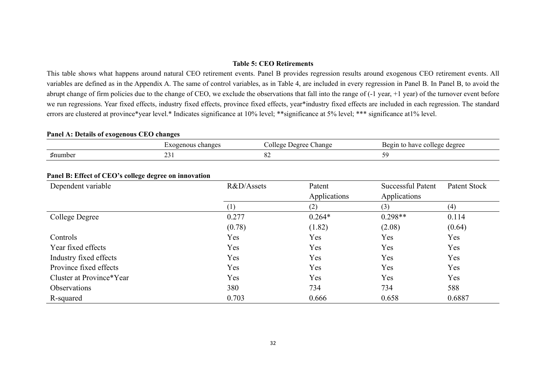#### **Table 5: CEO Retirements**

This table shows what happens around natural CEO retirement events. Panel B provides regression results around exogenous CEO retirement events. All variables are defined as in the Appendix A. The same of control variables, as in Table 4, are included in every regression in Panel B. In Panel B, to avoid the abrupt change of firm policies due to the change of CEO, we exclude the observations that fall into the range of  $(-1 \text{ year}, +1 \text{ year})$  of the turnover event before we run regressions. Year fixed effects, industry fixed effects, province fixed effects, year\*industry fixed effects are included in each regression. The standard errors are clustered at province\*year level.\* Indicates significance at 10% level; \*\*significance at 5% level; \*\*\* significance at1% level.

#### **Panel A: Details of exogenous CEO changes**

|                        | changes<br><b>Exogenous</b> | ∪hange<br>Lleoree<br>olleg. | Begin<br>) have college degree |
|------------------------|-----------------------------|-----------------------------|--------------------------------|
| . .<br>$\sharp$ number | $\sim$<br>⊥ ب⊿              | o c<br>$O\angle$            |                                |

| 0<br>$\overline{\phantom{a}}$<br>Dependent variable | R&D/Assets       | Patent<br>Applications | <b>Successful Patent</b><br>Applications | Patent Stock |  |
|-----------------------------------------------------|------------------|------------------------|------------------------------------------|--------------|--|
|                                                     | $\left(1\right)$ | (2)                    | (3)                                      | (4)          |  |
| College Degree                                      | 0.277            | $0.264*$               | $0.298**$                                | 0.114        |  |
|                                                     | (0.78)           | (1.82)                 | (2.08)                                   | (0.64)       |  |
| Controls                                            | Yes              | Yes                    | Yes                                      | Yes          |  |
| Year fixed effects                                  | Yes              | Yes                    | Yes                                      | Yes          |  |
| Industry fixed effects                              | Yes              | Yes                    | Yes                                      | Yes          |  |
| Province fixed effects                              | Yes              | Yes                    | Yes                                      | Yes          |  |
| Cluster at Province*Year                            | Yes              | Yes                    | Yes                                      | Yes          |  |
| <b>Observations</b>                                 | 380              | 734                    | 734                                      | 588          |  |
| R-squared                                           | 0.703            | 0.666                  | 0.658                                    | 0.6887       |  |

#### **Panel B: Effect of CEO's college degree on innovation**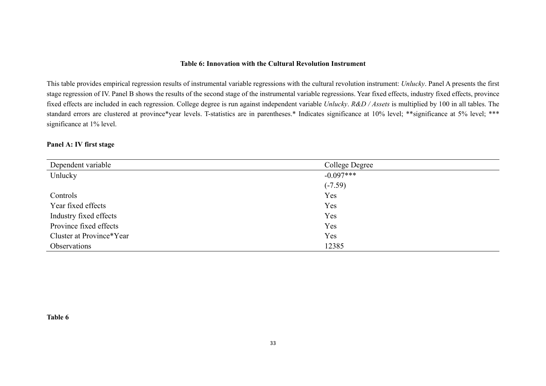#### **Table 6: Innovation with the Cultural Revolution Instrument**

This table provides empirical regression results of instrumental variable regressions with the cultural revolution instrument: *Unlucky*. Panel A presents the first stage regression of IV. Panel B shows the results of the second stage of the instrumental variable regressions. Year fixed effects, industry fixed effects, province fixed effects are included in each regression. College degree is run against independent variable *Unlucky*. *R&D / Assets* is multiplied by 100 in all tables. The standard errors are clustered at province\*year levels. T-statistics are in parentheses.\* Indicates significance at 10% level; \*\*\* significance at 5% level; \*\*\* significance at 1% level.

#### **Panel A: IV first stage**

| Dependent variable       | College Degree |
|--------------------------|----------------|
| Unlucky                  | $-0.097***$    |
|                          | $(-7.59)$      |
| Controls                 | Yes            |
| Year fixed effects       | Yes            |
| Industry fixed effects   | Yes            |
| Province fixed effects   | Yes            |
| Cluster at Province*Year | Yes            |
| Observations             | 12385          |

**Table 6**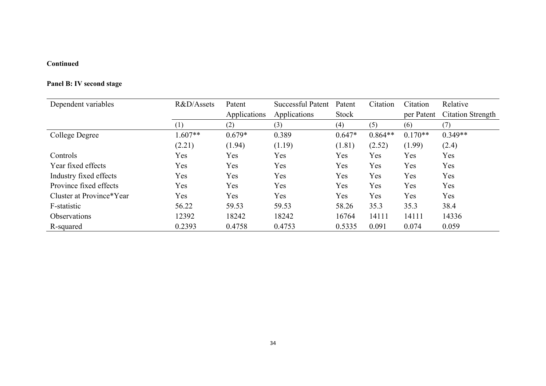## **Continued**

## **Panel B: IV second stage**

| Dependent variables      | R&D/Assets | Patent       | <b>Successful Patent</b> | Patent   | Citation  | Citation   | Relative                 |
|--------------------------|------------|--------------|--------------------------|----------|-----------|------------|--------------------------|
|                          |            | Applications | Applications             | Stock    |           | per Patent | <b>Citation Strength</b> |
|                          | (1)        | (2)          | (3)                      | (4)      | (5)       | (6)        | (7)                      |
| College Degree           | $1.607**$  | $0.679*$     | 0.389                    | $0.647*$ | $0.864**$ | $0.170**$  | $0.349**$                |
|                          | (2.21)     | (1.94)       | (1.19)                   | (1.81)   | (2.52)    | (1.99)     | (2.4)                    |
| Controls                 | Yes        | Yes          | Yes                      | Yes      | Yes       | Yes        | Yes                      |
| Year fixed effects       | Yes        | Yes          | Yes                      | Yes      | Yes       | Yes        | <b>Yes</b>               |
| Industry fixed effects   | Yes        | Yes          | Yes                      | Yes      | Yes       | Yes        | <b>Yes</b>               |
| Province fixed effects   | Yes        | Yes          | Yes                      | Yes      | Yes       | Yes        | Yes                      |
| Cluster at Province*Year | Yes        | Yes          | Yes                      | Yes      | Yes       | Yes        | Yes                      |
| F-statistic              | 56.22      | 59.53        | 59.53                    | 58.26    | 35.3      | 35.3       | 38.4                     |
| <b>Observations</b>      | 12392      | 18242        | 18242                    | 16764    | 14111     | 14111      | 14336                    |
| R-squared                | 0.2393     | 0.4758       | 0.4753                   | 0.5335   | 0.091     | 0.074      | 0.059                    |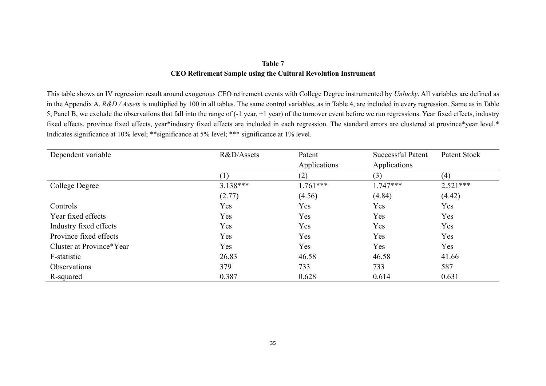## **Table 7 CEO Retirement Sample using the Cultural Revolution Instrument**

This table shows an IV regression result around exogenous CEO retirement events with College Degree instrumented by *Unlucky*. All variables are defined as in the Appendix A. *R&D / Assets* is multiplied by 100 in all tables. The same control variables, as in Table 4, are included in every regression. Same as in Table 5, Panel B, we exclude the observations that fall into the range of (-1 year, +1 year) of the turnover event before we run regressions. Year fixed effects, industry fixed effects, province fixed effects, year\*industry fixed effects are included in each regression. The standard errors are clustered at province\*year level.\* Indicates significance at 10% level; \*\*significance at 5% level; \*\*\* significance at 1% level.

| Dependent variable       | R&D/Assets | Patent       |              | Patent Stock |
|--------------------------|------------|--------------|--------------|--------------|
|                          |            | Applications | Applications |              |
|                          |            | (2)          | (3)          | (4)          |
| College Degree           | $3.138***$ | $1.761***$   | $1.747***$   | $2.521***$   |
|                          | (2.77)     | (4.56)       | (4.84)       | (4.42)       |
| Controls                 | Yes        | Yes          | Yes          | Yes          |
| Year fixed effects       | Yes        | Yes          | Yes          | Yes          |
| Industry fixed effects   | Yes        | Yes          | Yes          | Yes          |
| Province fixed effects   | <b>Yes</b> | Yes          | Yes          | Yes          |
| Cluster at Province*Year | <b>Yes</b> | Yes          | Yes          | Yes          |
| F-statistic              | 26.83      | 46.58        | 46.58        | 41.66        |
| Observations             | 379        | 733          | 733          | 587          |
| R-squared                | 0.387      | 0.628        | 0.614        | 0.631        |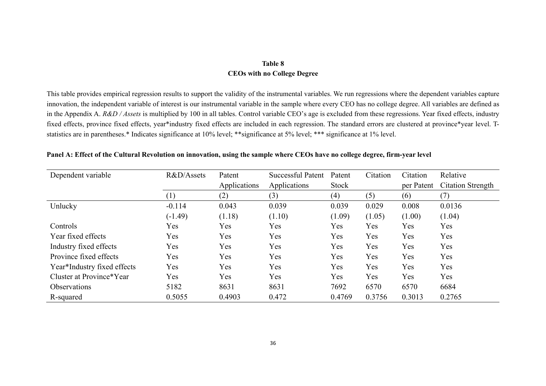## **Table 8 CEOs with no College Degree**

This table provides empirical regression results to support the validity of the instrumental variables. We run regressions where the dependent variables capture innovation, the independent variable of interest is our instrumental variable in the sample where every CEO has no college degree. All variables are defined as in the Appendix A. *R&D / Assets* is multiplied by 100 in all tables. Control variable CEO's age is excluded from these regressions. Year fixed effects, industry fixed effects, province fixed effects, year\*industry fixed effects are included in each regression. The standard errors are clustered at province\*year level. Tstatistics are in parentheses.\* Indicates significance at 10% level; \*\*significance at 5% level; \*\*\* significance at 1% level.

| Dependent variable          | R&D/Assets       | Patent       | <b>Successful Patent</b> | Citation<br>Patent |            | Citation   | Relative                 |
|-----------------------------|------------------|--------------|--------------------------|--------------------|------------|------------|--------------------------|
|                             |                  | Applications | Applications             | Stock              |            | per Patent | <b>Citation Strength</b> |
|                             | $\left(1\right)$ | (2)          | (3)                      | (4)                | (5)        | (6)        | (7)                      |
| Unlucky                     | $-0.114$         | 0.043        | 0.039                    | 0.039              | 0.029      | 0.008      | 0.0136                   |
|                             | $(-1.49)$        | (1.18)       | (1.10)                   | (1.09)             | (1.05)     | (1.00)     | (1.04)                   |
| Controls                    | Yes              | Yes          | <b>Yes</b>               | Yes                | <b>Yes</b> | Yes        | Yes                      |
| Year fixed effects          | Yes              | Yes          | Yes                      | Yes                | Yes        | Yes        | Yes                      |
| Industry fixed effects      | Yes              | Yes          | Yes                      | Yes                | Yes        | Yes        | Yes                      |
| Province fixed effects      | Yes              | Yes          | Yes                      | Yes                | Yes        | Yes        | Yes                      |
| Year*Industry fixed effects | Yes              | Yes          | Yes                      | Yes                | Yes        | Yes        | Yes                      |
| Cluster at Province*Year    | Yes              | Yes          | Yes                      | Yes                | Yes        | Yes        | Yes                      |
| <b>Observations</b>         | 5182             | 8631         | 8631                     | 7692               | 6570       | 6570       | 6684                     |
| R-squared                   | 0.5055           | 0.4903       | 0.472                    | 0.4769             | 0.3756     | 0.3013     | 0.2765                   |

**Panel A: Effect of the Cultural Revolution on innovation, using the sample where CEOs have no college degree, firm-year level**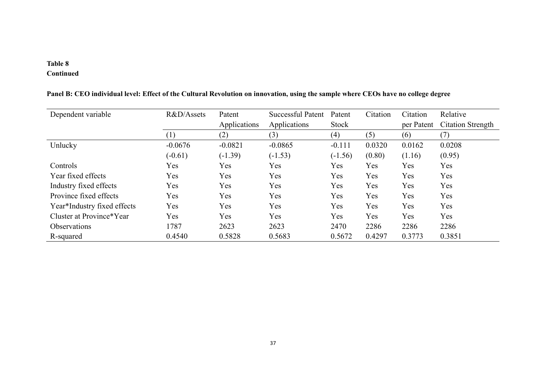# **Table 8**

# **Continued**

| Dependent variable          | R&D/Assets | Patent       | <b>Successful Patent</b> | Patent    | Citation | Citation   | Relative                 |
|-----------------------------|------------|--------------|--------------------------|-----------|----------|------------|--------------------------|
|                             |            | Applications | Applications             | Stock     |          | per Patent | <b>Citation Strength</b> |
|                             | (1)        | (2)          | (3)                      | (4)       | (5)      | (6)        | (7)                      |
| Unlucky                     | $-0.0676$  | $-0.0821$    | $-0.0865$                | $-0.111$  | 0.0320   | 0.0162     | 0.0208                   |
|                             | $(-0.61)$  | $(-1.39)$    | $(-1.53)$                | $(-1.56)$ | (0.80)   | (1.16)     | (0.95)                   |
| Controls                    | Yes        | Yes          | Yes                      | Yes       | Yes      | Yes        | Yes                      |
| Year fixed effects          | Yes        | Yes          | Yes                      | Yes       | Yes      | Yes        | Yes                      |
| Industry fixed effects      | Yes        | Yes          | Yes                      | Yes       | Yes      | Yes        | Yes                      |
| Province fixed effects      | Yes        | Yes          | Yes                      | Yes       | Yes      | Yes        | Yes                      |
| Year*Industry fixed effects | Yes        | Yes          | Yes                      | Yes       | Yes      | Yes        | Yes                      |
| Cluster at Province*Year    | Yes        | Yes          | Yes                      | Yes       | Yes      | Yes        | Yes                      |
| <b>Observations</b>         | 1787       | 2623         | 2623                     | 2470      | 2286     | 2286       | 2286                     |
| R-squared                   | 0.4540     | 0.5828       | 0.5683                   | 0.5672    | 0.4297   | 0.3773     | 0.3851                   |

**Panel B: CEO individual level: Effect of the Cultural Revolution on innovation, using the sample where CEOs have no college degree**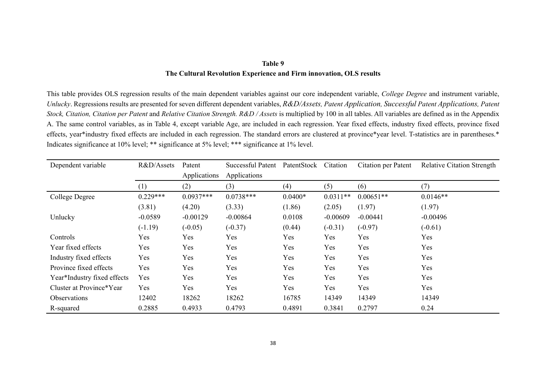## **Table 9 The Cultural Revolution Experience and Firm innovation, OLS results**

This table provides OLS regression results of the main dependent variables against our core independent variable, *College Degree* and instrument variable, *Unlucky*. Regressions results are presented for seven different dependent variables, *R&D/Assets, Patent Application, Successful Patent Applications, Patent Stock, Citation, Citation per Patent* and *Relative Citation Strength. R&D / Assets* is multiplied by 100 in all tables. All variables are defined as in the Appendix A. The same control variables, as in Table 4, except variable Age, are included in each regression. Year fixed effects, industry fixed effects, province fixed effects, year\*industry fixed effects are included in each regression. The standard errors are clustered at province\*year level. T-statistics are in parentheses.\* Indicates significance at 10% level; \*\* significance at 5% level; \*\*\* significance at 1% level.

| Dependent variable          | R&D/Assets | Patent       | Successful Patent | PatentStock | Citation   | Citation per Patent | <b>Relative Citation Strength</b> |
|-----------------------------|------------|--------------|-------------------|-------------|------------|---------------------|-----------------------------------|
|                             |            | Applications | Applications      |             |            |                     |                                   |
|                             | (1)        | (2)          | (3)               | (4)         | (5)        | (6)                 | (7)                               |
| College Degree              | $0.229***$ | $0.0937***$  | $0.0738***$       | $0.0400*$   | $0.0311**$ | $0.00651**$         | $0.0146**$                        |
|                             | (3.81)     | (4.20)       | (3.33)            | (1.86)      | (2.05)     | (1.97)              | (1.97)                            |
| Unlucky                     | $-0.0589$  | $-0.00129$   | $-0.00864$        | 0.0108      | $-0.00609$ | $-0.00441$          | $-0.00496$                        |
|                             | $(-1.19)$  | $(-0.05)$    | $(-0.37)$         | (0.44)      | $(-0.31)$  | $(-0.97)$           | $(-0.61)$                         |
| Controls                    | Yes        | Yes          | Yes               | Yes         | Yes        | Yes                 | Yes                               |
| Year fixed effects          | Yes        | Yes          | Yes               | Yes         | Yes        | Yes                 | Yes                               |
| Industry fixed effects      | Yes        | Yes          | Yes               | Yes         | Yes        | Yes                 | Yes                               |
| Province fixed effects      | Yes        | Yes          | Yes               | Yes         | Yes        | Yes                 | Yes                               |
| Year*Industry fixed effects | Yes        | Yes          | Yes               | Yes         | Yes        | Yes                 | Yes                               |
| Cluster at Province*Year    | Yes        | Yes          | Yes               | Yes         | Yes        | Yes                 | Yes                               |
| <b>Observations</b>         | 12402      | 18262        | 18262             | 16785       | 14349      | 14349               | 14349                             |
| R-squared                   | 0.2885     | 0.4933       | 0.4793            | 0.4891      | 0.3841     | 0.2797              | 0.24                              |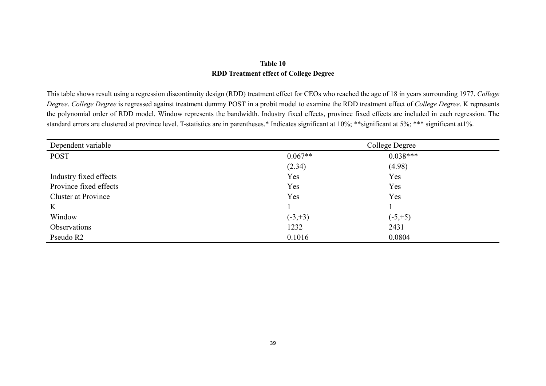## **Table 10 RDD Treatment effect of College Degree**

This table shows result using a regression discontinuity design (RDD) treatment effect for CEOs who reached the age of 18 in years surrounding 1977. *College Degree*. *College Degree* is regressed against treatment dummy POST in a probit model to examine the RDD treatment effect of *College Degree*. K represents the polynomial order of RDD model. Window represents the bandwidth. Industry fixed effects, province fixed effects are included in each regression. The standard errors are clustered at province level. T-statistics are in parentheses.\* Indicates significant at 10%; \*\*\* significant at 5%; \*\*\* significant at1%.

| Dependent variable         |            | College Degree |  |
|----------------------------|------------|----------------|--|
| <b>POST</b>                | $0.067**$  | $0.038***$     |  |
|                            | (2.34)     | (4.98)         |  |
| Industry fixed effects     | Yes        | Yes            |  |
| Province fixed effects     | Yes        | Yes            |  |
| <b>Cluster at Province</b> | Yes        | Yes            |  |
| K                          |            |                |  |
| Window                     | $(-3, +3)$ | $(-5, +5)$     |  |
| Observations               | 1232       | 2431           |  |
| Pseudo R2                  | 0.1016     | 0.0804         |  |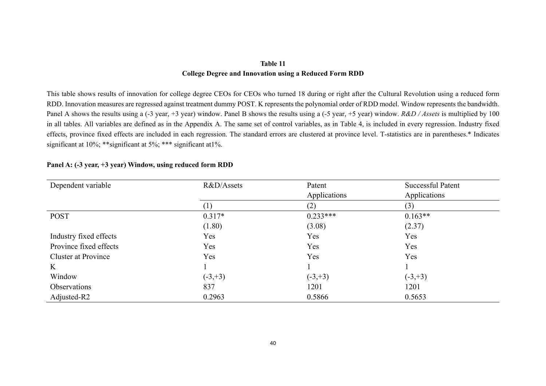## **Table 11 College Degree and Innovation using a Reduced Form RDD**

This table shows results of innovation for college degree CEOs for CEOs who turned 18 during or right after the Cultural Revolution using a reduced form RDD. Innovation measures are regressed against treatment dummy POST. K represents the polynomial order of RDD model. Window represents the bandwidth. Panel A shows the results using a (-3 year, +3 year) window. Panel B shows the results using a (-5 year, +5 year) window. *R&D / Assets* is multiplied by 100 in all tables. All variables are defined as in the Appendix A. The same set of control variables, as in Table 4, is included in every regression. Industry fixed effects, province fixed effects are included in each regression. The standard errors are clustered at province level. T-statistics are in parentheses.\* Indicates significant at 10%; \*\* significant at 5%; \*\*\* significant at 1%.

| Dependent variable         | R&D/Assets | Patent       | <b>Successful Patent</b> |
|----------------------------|------------|--------------|--------------------------|
|                            |            | Applications | Applications             |
|                            | (1)        | (2)          | (3)                      |
| <b>POST</b>                | $0.317*$   | $0.233***$   | $0.163**$                |
|                            | (1.80)     | (3.08)       | (2.37)                   |
| Industry fixed effects     | Yes        | Yes          | Yes                      |
| Province fixed effects     | Yes        | Yes          | Yes                      |
| <b>Cluster at Province</b> | Yes        | Yes          | Yes                      |
| K                          |            |              |                          |
| Window                     | $(-3, +3)$ | $(-3, +3)$   | $(-3, +3)$               |
| Observations               | 837        | 1201         | 1201                     |
| Adjusted-R2                | 0.2963     | 0.5866       | 0.5653                   |

#### **Panel A: (-3 year, +3 year) Window, using reduced form RDD**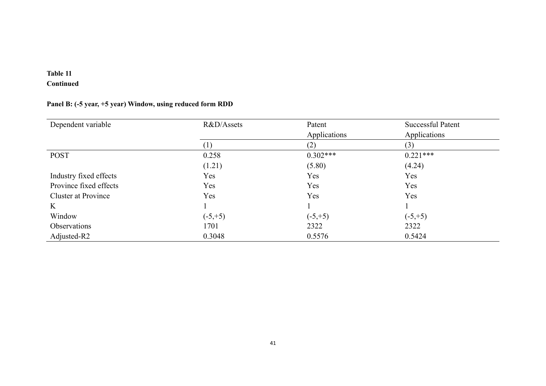# **Table 11**

# **Continued**

## **Panel B: (-5 year, +5 year) Window, using reduced form RDD**

| Dependent variable         | R&D/Assets | Patent       | <b>Successful Patent</b> |
|----------------------------|------------|--------------|--------------------------|
|                            |            | Applications | Applications             |
|                            | (1)        | (2)          | (3)                      |
| <b>POST</b>                | 0.258      | $0.302***$   | $0.221***$               |
|                            | (1.21)     | (5.80)       | (4.24)                   |
| Industry fixed effects     | Yes        | <b>Yes</b>   | Yes                      |
| Province fixed effects     | Yes        | Yes          | Yes                      |
| <b>Cluster at Province</b> | Yes        | Yes          | Yes                      |
| $\rm K$                    |            |              |                          |
| Window                     | $(-5, +5)$ | $(-5, +5)$   | $(-5, +5)$               |
| <b>Observations</b>        | 1701       | 2322         | 2322                     |
| Adjusted-R2                | 0.3048     | 0.5576       | 0.5424                   |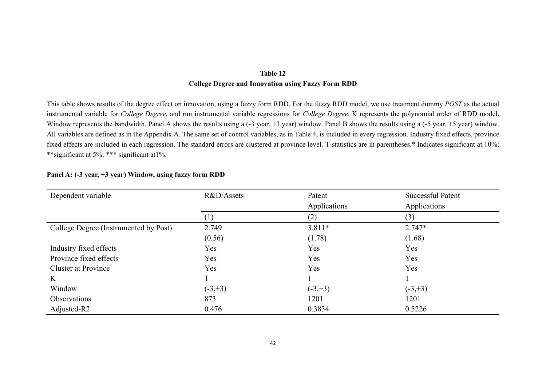## **Table 12 College Degree and Innovation using Fuzzy Form RDD**

This table shows results of the degree effect on innovation, using a fuzzy form RDD. For the fuzzy RDD model, we use treatment dummy *POST* as the actual instrumental variable for *College Degree*, and run instrumental variable regressions for *College Degree*. K represents the polynomial order of RDD model. Window represents the bandwidth. Panel A shows the results using a (-3 year, +3 year) window. Panel B shows the results using a (-5 year, +5 year) window. All variables are defined as in the Appendix A. The same set of control variables, as in Table 4, is included in every regression. Industry fixed effects, province fixed effects are included in each regression. The standard errors are clustered at province level. T-statistics are in parentheses.\* Indicates significant at 10%; \*\*significant at 5%; \*\*\* significant at1%.

| Dependent variable                    | R&D/Assets | Patent       | <b>Successful Patent</b> |
|---------------------------------------|------------|--------------|--------------------------|
|                                       |            | Applications | Applications             |
|                                       | $\perp$    | (2)          | (3)                      |
| College Degree (Instrumented by Post) | 2.749      | $3.811*$     | $2.747*$                 |
|                                       | (0.56)     | (1.78)       | (1.68)                   |
| Industry fixed effects                | Yes        | Yes          | Yes                      |
| Province fixed effects                | Yes        | Yes          | Yes                      |
| <b>Cluster at Province</b>            | Yes        | Yes          | Yes                      |
| K                                     |            |              |                          |
| Window                                | $(-3, +3)$ | $(-3, +3)$   | $(-3, +3)$               |
| Observations                          | 873        | 1201         | 1201                     |
| Adjusted-R2                           | 0.476      | 0.3834       | 0.5226                   |

#### **Panel A: (-3 year, +3 year) Window, using fuzzy form RDD**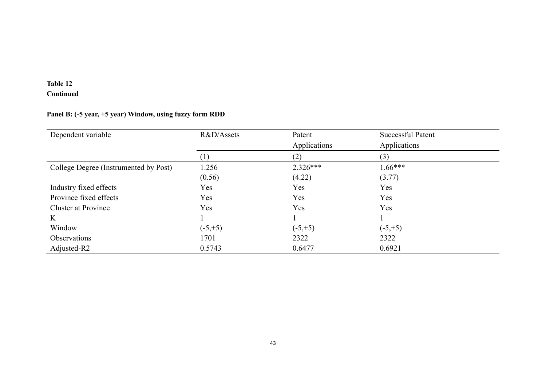# **Table 12 Continued**

# **Panel B: (-5 year, +5 year) Window, using fuzzy form RDD**

| Dependent variable                    | R&D/Assets | Patent<br>Applications | <b>Successful Patent</b><br>Applications |  |
|---------------------------------------|------------|------------------------|------------------------------------------|--|
|                                       | (1)        | (2)                    | (3)                                      |  |
| College Degree (Instrumented by Post) | 1.256      | $2.326***$             | $1.66***$                                |  |
|                                       | (0.56)     | (4.22)                 | (3.77)                                   |  |
| Industry fixed effects                | Yes        | Yes                    | Yes                                      |  |
| Province fixed effects                | Yes        | Yes                    | Yes                                      |  |
| <b>Cluster at Province</b>            | Yes        | Yes                    | Yes                                      |  |
| K                                     |            |                        |                                          |  |
| Window                                | $(-5, +5)$ | $(-5, +5)$             | $(-5, +5)$                               |  |
| Observations                          | 1701       | 2322                   | 2322                                     |  |
| Adjusted-R2                           | 0.5743     | 0.6477                 | 0.6921                                   |  |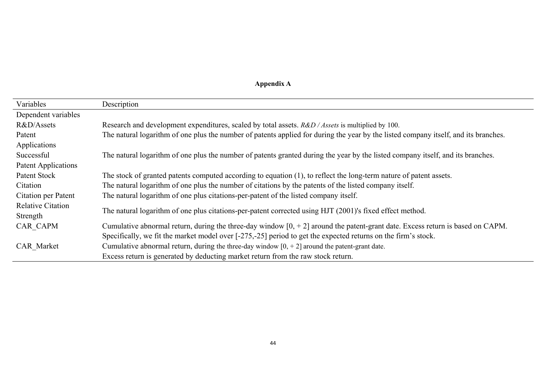# **Appendix A**

| Variables                | Description                                                                                                                         |
|--------------------------|-------------------------------------------------------------------------------------------------------------------------------------|
| Dependent variables      |                                                                                                                                     |
| R&D/Assets               | Research and development expenditures, scaled by total assets. R&D / Assets is multiplied by 100.                                   |
| Patent                   | The natural logarithm of one plus the number of patents applied for during the year by the listed company itself, and its branches. |
| Applications             |                                                                                                                                     |
| Successful               | The natural logarithm of one plus the number of patents granted during the year by the listed company itself, and its branches.     |
| Patent Applications      |                                                                                                                                     |
| Patent Stock             | The stock of granted patents computed according to equation (1), to reflect the long-term nature of patent assets.                  |
| Citation                 | The natural logarithm of one plus the number of citations by the patents of the listed company itself.                              |
| Citation per Patent      | The natural logarithm of one plus citations-per-patent of the listed company itself.                                                |
| <b>Relative Citation</b> | The natural logarithm of one plus citations-per-patent corrected using HJT (2001)'s fixed effect method.                            |
| Strength                 |                                                                                                                                     |
| CAR CAPM                 | Cumulative abnormal return, during the three-day window $[0, +2]$ around the patent-grant date. Excess return is based on CAPM.     |
|                          | Specifically, we fit the market model over [-275,-25] period to get the expected returns on the firm's stock.                       |
| CAR Market               | Cumulative abnormal return, during the three-day window $[0, +2]$ around the patent-grant date.                                     |
|                          | Excess return is generated by deducting market return from the raw stock return.                                                    |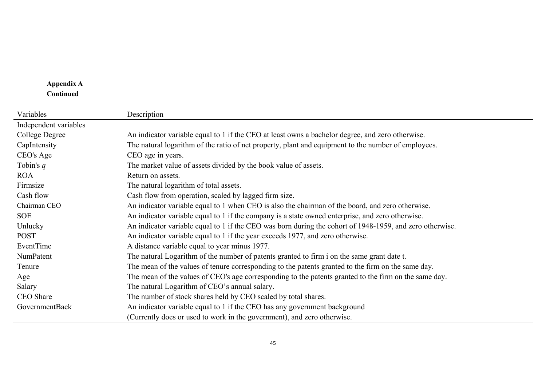# **Appendix A Continued**

| Variables             | Description                                                                                              |
|-----------------------|----------------------------------------------------------------------------------------------------------|
| Independent variables |                                                                                                          |
| College Degree        | An indicator variable equal to 1 if the CEO at least owns a bachelor degree, and zero otherwise.         |
| CapIntensity          | The natural logarithm of the ratio of net property, plant and equipment to the number of employees.      |
| CEO's Age             | CEO age in years.                                                                                        |
| Tobin's $q$           | The market value of assets divided by the book value of assets.                                          |
| <b>ROA</b>            | Return on assets.                                                                                        |
| Firmsize              | The natural logarithm of total assets.                                                                   |
| Cash flow             | Cash flow from operation, scaled by lagged firm size.                                                    |
| Chairman CEO          | An indicator variable equal to 1 when CEO is also the chairman of the board, and zero otherwise.         |
| <b>SOE</b>            | An indicator variable equal to 1 if the company is a state owned enterprise, and zero otherwise.         |
| Unlucky               | An indicator variable equal to 1 if the CEO was born during the cohort of 1948-1959, and zero otherwise. |
| <b>POST</b>           | An indicator variable equal to 1 if the year exceeds 1977, and zero otherwise.                           |
| EventTime             | A distance variable equal to year minus 1977.                                                            |
| NumPatent             | The natural Logarithm of the number of patents granted to firm i on the same grant date t.               |
| Tenure                | The mean of the values of tenure corresponding to the patents granted to the firm on the same day.       |
| Age                   | The mean of the values of CEO's age corresponding to the patents granted to the firm on the same day.    |
| Salary                | The natural Logarithm of CEO's annual salary.                                                            |
| CEO Share             | The number of stock shares held by CEO scaled by total shares.                                           |
| GovernmentBack        | An indicator variable equal to 1 if the CEO has any government background                                |
|                       | (Currently does or used to work in the government), and zero otherwise.                                  |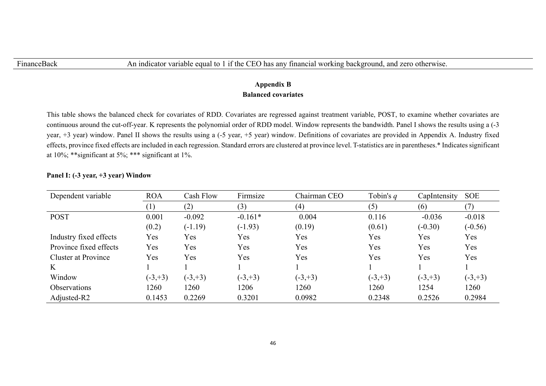## **Appendix B Balanced covariates**

This table shows the balanced check for covariates of RDD. Covariates are regressed against treatment variable, POST, to examine whether covariates are continuous around the cut-off-year. K represents the polynomial order of RDD model. Window represents the bandwidth. Panel I shows the results using a (-3 year, +3 year) window. Panel II shows the results using a (-5 year, +5 year) window. Definitions of covariates are provided in Appendix A. Industry fixed effects, province fixed effects are included in each regression. Standard errors are clustered at province level. T-statistics are in parentheses.\* Indicates significant at 10%; \*\*significant at 5%; \*\*\* significant at 1%.

| Dependent variable         | <b>ROA</b> | Cash Flow  | Firmsize   | Chairman CEO | Tobin's $q$ | CapIntensity | <b>SOE</b> |
|----------------------------|------------|------------|------------|--------------|-------------|--------------|------------|
|                            | (1)        | (2)        | (3)        | (4)          | (5)         | (6)          |            |
| <b>POST</b>                | 0.001      | $-0.092$   | $-0.161*$  | 0.004        | 0.116       | $-0.036$     | $-0.018$   |
|                            | (0.2)      | $(-1.19)$  | $(-1.93)$  | (0.19)       | (0.61)      | $(-0.30)$    | $(-0.56)$  |
| Industry fixed effects     | Yes        | Yes        | Yes        | Yes          | Yes         | Yes          | Yes        |
| Province fixed effects     | Yes        | Yes        | Yes        | Yes          | Yes         | Yes          | Yes        |
| <b>Cluster at Province</b> | Yes        | Yes        | Yes        | Yes          | Yes         | Yes          | Yes        |
| $\rm K$                    |            |            |            |              |             |              |            |
| Window                     | $(-3, +3)$ | $(-3, +3)$ | $(-3, +3)$ | $(-3, +3)$   | $(-3, +3)$  | $(-3, +3)$   | $(-3, +3)$ |
| <b>Observations</b>        | 1260       | 1260       | 1206       | 1260         | 1260        | 1254         | 1260       |
| Adjusted-R2                | 0.1453     | 0.2269     | 0.3201     | 0.0982       | 0.2348      | 0.2526       | 0.2984     |

## **Panel I: (-3 year, +3 year) Window**